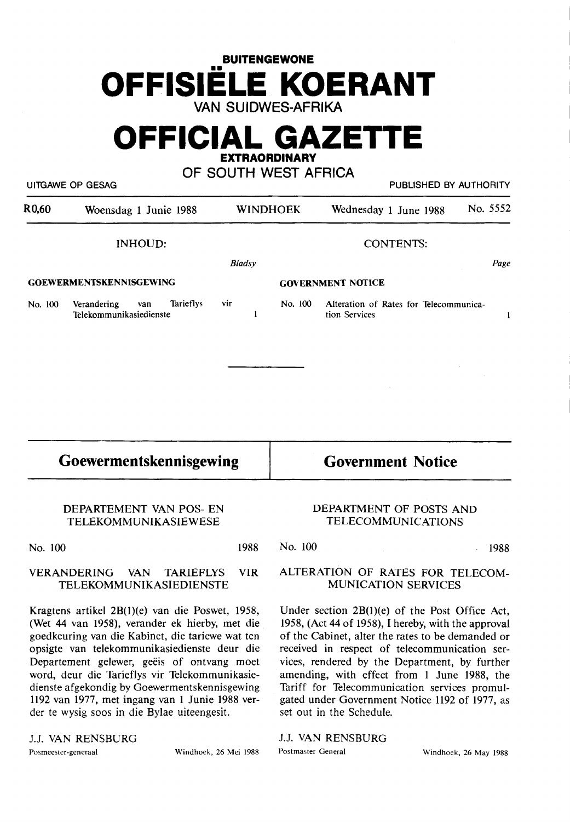## **BUITENGEWONE OFFISIELE KOERANT VAN SUIDWES-AFRIKA**

**OFFICIAL GAZETIE** 

**EXTRAORDINARY** 

**OF SOUTH WEST AFRICA** 

UITGAWE OP GESAG PUBLISHED BY AUTHORITY

| R <sub>0</sub> ,60 | Woensdag 1 Junie 1988                                      |                  | <b>WINDHOEK</b> | Wednesday 1 June 1988                                   | No. 5552 |  |
|--------------------|------------------------------------------------------------|------------------|-----------------|---------------------------------------------------------|----------|--|
|                    | INHOUD:                                                    | <b>CONTENTS:</b> |                 |                                                         |          |  |
| Bladsy             |                                                            |                  |                 |                                                         | Page     |  |
|                    | <b>GOEWERMENTSKENNISGEWING</b>                             |                  |                 | <b>GOVERNMENT NOTICE</b>                                |          |  |
| No. 100            | Tarieflys<br>Verandering<br>van<br>Telekommunikasiedienste | vir              | No. 100         | Alteration of Rates for Telecommunica-<br>tion Services |          |  |
|                    |                                                            |                  |                 |                                                         |          |  |

## **Goewermentskennisgewing**

**Government Notice** 

DEPARTEMENT VAN POS- EN TELEKOMMUNIKASIEWESE

No. 100 1988

# VERANDERING VAN TARIEFLYS VIR

TELEKOMMUNIKASIEDIENSTE

Kragtens artikel 2B(l)(e) van die Poswet, 1958, (Wet 44 van 1958), verander ek hierby, met die goedkeuring van die Kabinet, die tariewe wat ten opsigte van telekommunikasiedienste deur die Departement gelewer, geëis of ontvang moet word, deur die Tarieflys vir Telekommunikasiedienste afgekondig by Goewermentskennisgewing 1192 van 1977, met ingang van 1 Junie 1988 verder te wysig soos in die Bylae uiteengesit.

### J.J. VAN RENSBURG

Posmeester-generaal Windhoek, 26 Mei 1988 Postmaster General Windhoek, 26 May 1988

### DEPARTMENT OF POSTS AND TELECOMMUNICATIONS

No. 100 1988

#### ALTERATION OF RATES FOR TELECOM-MUNICATION SERVICES

Under section 2B(l)(e) of the Post Office Act, 1958, (Act 44 of 1958), I hereby, with the approval of the Cabinet, alter the rates to be demanded or received in respect of telecommunication services, rendered by the Department, by further amending, with effect from 1 June 1988, the Tariff for Telecommunication services promulgated under Government Notice 1192 of 1977, as set out in the Schedule.

J.J. **VAN RENSBURG**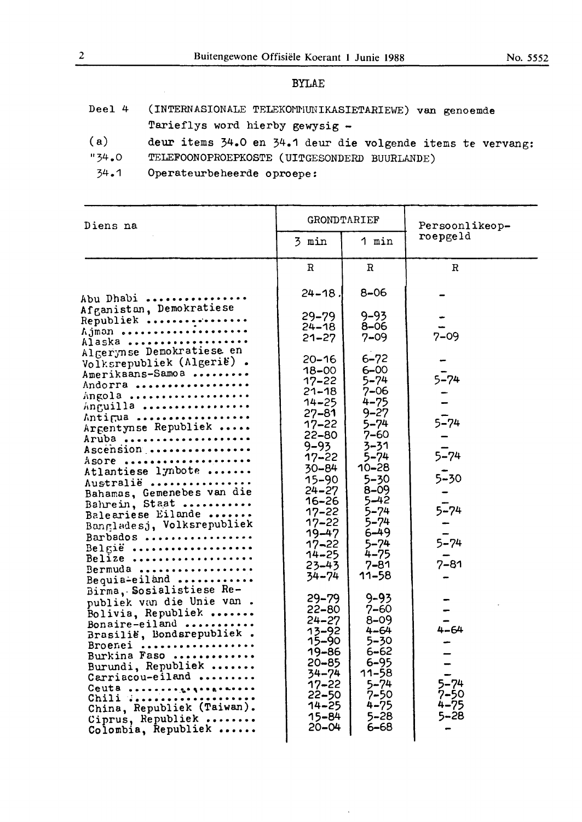No. *5552* 

#### BYLAE

- Deel 4 (INTERNASIONALE TELEKOMMUNIKASIETARIEWE) van genoemde Tarieflys word hierby gewysig -
- ( a) deur items 34.0 en 34.1 deur die volgende items te vervang:
- "34.0 TELEFOONOPROEPKOSTE (UITGESONDERD BUURLANDE)
- 34.1 0perateurbeheerde oproepe:

| Diens na                                                                                                                                                                                                                                                                                                                                                                                                     | GRONDTARIEF                                                                                                                                                                                                                                                               |                                                                                                                                                                                                                                            | Persoonlikeop-                                                                   |
|--------------------------------------------------------------------------------------------------------------------------------------------------------------------------------------------------------------------------------------------------------------------------------------------------------------------------------------------------------------------------------------------------------------|---------------------------------------------------------------------------------------------------------------------------------------------------------------------------------------------------------------------------------------------------------------------------|--------------------------------------------------------------------------------------------------------------------------------------------------------------------------------------------------------------------------------------------|----------------------------------------------------------------------------------|
|                                                                                                                                                                                                                                                                                                                                                                                                              | 3 min                                                                                                                                                                                                                                                                     | 1 min                                                                                                                                                                                                                                      | roepgeld                                                                         |
|                                                                                                                                                                                                                                                                                                                                                                                                              | $\mathbf R$                                                                                                                                                                                                                                                               | $\mathbb{R}$                                                                                                                                                                                                                               | R                                                                                |
| Abu Dhabi                                                                                                                                                                                                                                                                                                                                                                                                    | $24 - 18$                                                                                                                                                                                                                                                                 | $8 - 06$                                                                                                                                                                                                                                   |                                                                                  |
| Afganistan, Demokratiese<br>Republiek<br>Ajman<br>Alaska                                                                                                                                                                                                                                                                                                                                                     | $29 - 79$<br>$24 - 18$<br>$21 - 27$                                                                                                                                                                                                                                       | $9 - 93$<br>$8 - 06$<br>$7 - 09$                                                                                                                                                                                                           | $7 - 09$                                                                         |
| Algerynse Demokratiese en<br>Volksrepubliek (Algerië).<br>Amerikaans-Samoa<br>Andorra<br>Angola<br>Anguilla<br>Antigua<br>Argentynse Republiek<br>Aruba<br>Ascension<br>ASOPE<br>Atlantiese lynbote<br>Australië<br>Bahamas, Gemenebes van die<br>Bahrein, Staat<br>Baleariese Eilande<br>Bangladesj, Volksrepubliek<br>Barbados<br>België<br>Belize<br>Bermuda<br>Bequia-eiland<br>Birma, Sosialistiese Re- | $20 - 16$<br>$18 - 00$<br>$17 - 22$<br>$21 - 18$<br>$14 - 25$<br>$27 - 81$<br>$17 - 22$<br>$22 - 80$<br>$9 - 93$<br>$17 - 22$<br>$30 - 84$<br>$15 - 90$<br>$24 - 27$<br>16–26<br>$17 - 22$<br>$17 - 22$<br>19–47<br>17–22<br>14–25<br>$23 - 43$<br>$34 - 74$<br>$29 - 79$ | $6 - 72$<br>6–00<br>5–74<br>7–06<br>$4 - 75$<br>$9 - 27$<br>5–74<br>7–60<br>3-31<br>5–74<br>$10 - 28$<br>$5 - 30$<br>$8 - 09$<br>$5 - 42$<br>$5 - 74$<br>$5 - 74$<br>$6 - 49$<br>$5 - 74$<br>$4 - 75$<br>$7 - 81$<br>$11 - 58$<br>$9 - 93$ | $5 - 74$<br>$5 - 74$<br>$5 - 74$<br>$5 - 30$<br>$5 - 74$<br>$5 - 74$<br>$7 - 81$ |
| publiek van die Unie van.<br>Bolivia, Republiek<br>Bonaire-eiland<br>Brasilië, Bondsrepubliek.<br>Broenei<br>Burkina Faso<br>Burundi, Republiek<br>Carriacou-eiland<br>Ceuta<br>Chili dessessessessessesses<br>China, Republiek (Taiwan).<br>Ciprus, Republiek<br>Colombia, Republiek                                                                                                                        | $22 - 80$<br>24–27<br>13–92<br>15-90<br>19-86<br>20–85<br>34–74<br>17–22<br>$22 - 50$<br>14–25<br>15-84<br>$20 - 04$                                                                                                                                                      | $7 - 60$<br>$8 - 09$<br>$4 - 64$<br>5-30<br>$6 - 62$<br>$6 - 95$<br>11–58<br>$5 - 74$<br>$7 - 50$<br>$4 - 75$<br>$5 - 28$<br>6–68                                                                                                          | $4 - 64$<br>$5 - 74$<br>$7 - 50$<br>$4 - 75$<br>$5 - 28$                         |

 $\Delta$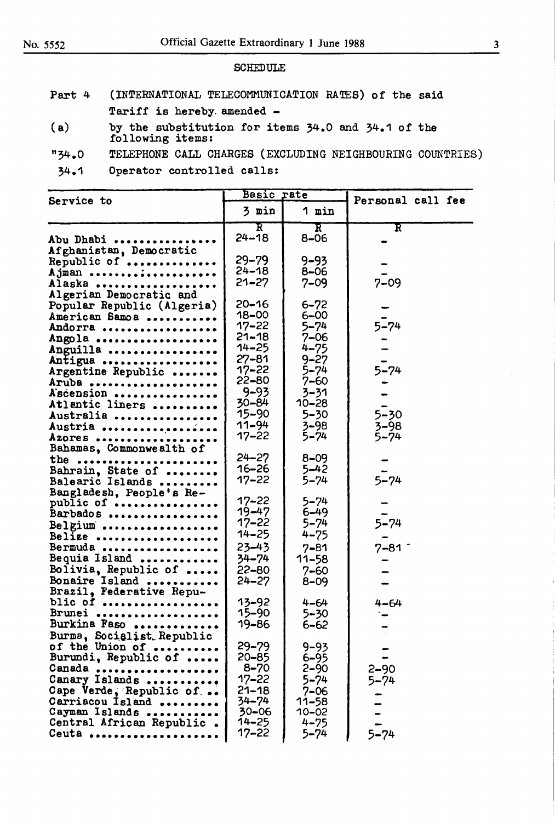#### **SCHEDULE**

- Part 4 (INTERNATIONAL TELECOMMUNICATION RATES) of the **said**  Tariff is hereby. amended -
- ( **a)** by the substitution for items 34.0 and 34.1 of the following items:
- "34.0 TELEPHONE CALL CHARGES (EXCLUDING NEIGHBOURING COUNTRIES)
- 34.1 Operator controlled calls:

|                                        | Basic rate               |                         | Personal call fee     |
|----------------------------------------|--------------------------|-------------------------|-----------------------|
| Service to                             | 3 min                    | 1 min                   |                       |
| Abu Dhabi                              | $\mathbf F$<br>$24 - 18$ | $\mathbf F$<br>$8 - 06$ | $\mathbf F$           |
| Afghanistan, Democratic                |                          |                         |                       |
| Republic of                            | $29 - 79$                | $9 - 93$                |                       |
| Ajman                                  | $24 - 18$                | $8 - 06$                |                       |
| Alaska                                 | $21 - 27$                | $7 - 09$                | $7 - 09$              |
| Algerian Democratic and                |                          |                         |                       |
| Popular Republic (Algeria)             | $20 - 16$                | $6 - 72$                |                       |
| American Samoa                         | 18-00                    | $6 - 00$                |                       |
| Andorra                                | $17 - 22$                | $5 - 74$                | $5 - 74$              |
| Angola                                 | $21 - 18$                | $7 - 06$                |                       |
| Anguilla                               | $14 - 25$                | $4 - 75$                |                       |
| Antigua                                | $27 - 81$                | $9 - 27$                |                       |
| Argentine Republic                     | $17 - 22$                | $5 - 74$                | $5 - 74$              |
| Aruba                                  | $22 - 80$                | 7–60                    |                       |
| Ascension                              | $9 - 93$                 | 3-31                    |                       |
| Atlantic liners                        | $30 - 84$                | 10-28                   |                       |
| Australia                              | 15–90                    | $5 - 30$                | $5 - 30$              |
| Austria                                | $11 - 94$                | $3 - 98$                | $3 - 98$              |
| Azores                                 | $17 - 22$                | $5 - 74$                | $5 - 74$              |
| Bahamas, Commonwealth of               |                          |                         |                       |
| the                                    | $24 - 27$<br>$16 - 26$   | $8 - 09$                |                       |
| Bahrain, State of                      | $17 - 22$                | $5 - 42$                | $5 - 74$              |
| Balearic Islands                       |                          | $5 - 74$                |                       |
| Bangladesh, People's Re-               | $17 - 22$                | $5 - 74$                |                       |
| public of<br>Barbados                  | $19 - 47$                | $6 - 49$                |                       |
|                                        | $17 - 22$                | $5 - 74$                | $5 - 74$              |
| Belgium<br>Belize                      | $14 - 25$                | $4 - 75$                |                       |
| Bermuda                                | 23-43                    | $7 - 81$                | $7 - 81$ <sup>-</sup> |
| Bequia Island                          | 34-74                    | 11–58                   |                       |
|                                        | $22 - 80$                | $7 - 60$                |                       |
| Bolivia, Republic of<br>Bonaire Island | $24 - 27$                | $8 - 09$                |                       |
| Brazil, Federative Repu-               |                          |                         |                       |
| blic of                                | $13 - 92$                | $4 - 64$                | $4 - 64$              |
| Brunei                                 | 15-90                    | $5 - 30$                |                       |
| Burkina Faso                           | 19-86                    | $6 - 62$                |                       |
| Burma, Socialist Republic              |                          |                         |                       |
| of the Union of                        | $29 - 79$                | $9 - 93$                |                       |
| Burundi, Republic of                   | $20 - 85$                | $6 - 95$                |                       |
| Canada                                 | $8 - 70$                 | $2 - 90$                | 2–90                  |
| Canary Islands                         | $17 - 22$                | $5 - 74$                | $5 - 74$              |
| Cape Verde, Republic of                | $21 - 18$                | $7 - 06$                |                       |
| Carriacou Island                       | 34-74                    | 11–58                   |                       |
| Cayman Islands                         | $30 - 06$                | 10-02                   |                       |
| Central African Republic.              | $14 - 25$                | $4 - 75$                |                       |
| Ceuta                                  | $17 - 22$                | 5–74                    | $5 - 74$              |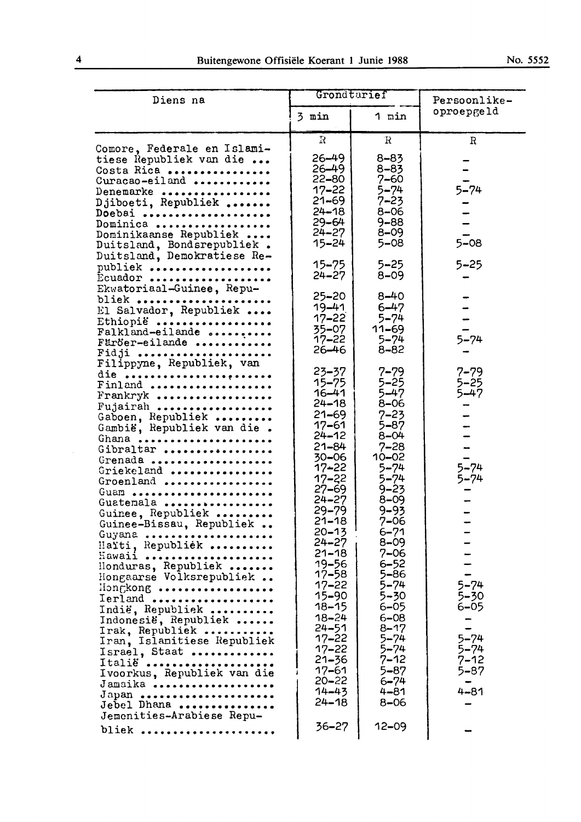|  | No. | 5552 |
|--|-----|------|
|--|-----|------|

| Diens na                                                                                                                                                                                                                                                                                                                                                                                                                                                                                                                                                                                                    | Grondtarief                                                                                                                                                                                                                                                                                                                                                                                                                       |                                                                                                                                                                                                                                                                                                                                                                                        | Persoonlike-                                                                                                                                      |  |
|-------------------------------------------------------------------------------------------------------------------------------------------------------------------------------------------------------------------------------------------------------------------------------------------------------------------------------------------------------------------------------------------------------------------------------------------------------------------------------------------------------------------------------------------------------------------------------------------------------------|-----------------------------------------------------------------------------------------------------------------------------------------------------------------------------------------------------------------------------------------------------------------------------------------------------------------------------------------------------------------------------------------------------------------------------------|----------------------------------------------------------------------------------------------------------------------------------------------------------------------------------------------------------------------------------------------------------------------------------------------------------------------------------------------------------------------------------------|---------------------------------------------------------------------------------------------------------------------------------------------------|--|
|                                                                                                                                                                                                                                                                                                                                                                                                                                                                                                                                                                                                             | 3 min                                                                                                                                                                                                                                                                                                                                                                                                                             | 1 min                                                                                                                                                                                                                                                                                                                                                                                  | oproepgeld                                                                                                                                        |  |
| Comore, Federale en Islami-<br>tiese Republiek van die<br>Costa Rica<br>Curacao-eiland<br>Denemarke<br>Djiboeti, Republiek<br>Doebai<br>Dominica                                                                                                                                                                                                                                                                                                                                                                                                                                                            | R<br>$26 - 49$<br>$26 - 49$<br>22-80<br>17–22<br>$21 - 69$<br>$24 - 18$<br>$29 - 64$<br>$24 - 27$                                                                                                                                                                                                                                                                                                                                 | R<br>$8 - 83$<br>$8 - 83$<br>$7 - 60$<br>5–74<br>$7 - 23$<br>$8 - 06$<br>$9 - 88$<br>$8 - 09$                                                                                                                                                                                                                                                                                          | R<br>$5 - 74$                                                                                                                                     |  |
| Dominikaanse Republiek<br>Duitsland, Bondsrepubliek.<br>Duitsland, Demokratiese Re-<br>publiek<br>Ecuador<br>Ekwatoriaal-Guinee, Repu-<br>bliek                                                                                                                                                                                                                                                                                                                                                                                                                                                             | $15 - 24$<br>$15 - 75$<br>$24 - 27$<br>25–20                                                                                                                                                                                                                                                                                                                                                                                      | $5 - 08$<br>$5 - 25$<br>$8 - 09$<br>$8 - 40$                                                                                                                                                                                                                                                                                                                                           | $5 - 08$<br>$5 - 25$                                                                                                                              |  |
| El Salvador, Republiek<br>Ethiopië<br>Falkland-eilande<br>Färöer-eilande<br>Fidji                                                                                                                                                                                                                                                                                                                                                                                                                                                                                                                           | $19 - 41$<br>$17 - 22$<br>$35 - 07$<br>$17 - 22$<br>$26 - 46$                                                                                                                                                                                                                                                                                                                                                                     | $6 - 47$<br>$5 - 74$<br>$11 - 69$<br>$5 - 74$<br>8-82                                                                                                                                                                                                                                                                                                                                  | $5 - 74$                                                                                                                                          |  |
| Filippyne, Republiek, van<br>die<br>Finland<br>Frankryk<br>Fujairah<br>Gaboen, Republiek<br>Gambië, Republiek van die.<br>Ghana<br>Gibraltar<br>Grenada<br>Griekeland<br>Groenland<br>Guam<br>Guatemala<br>Guinee, Republiek<br>Guinee-Bissau, Republiek<br>Guyana<br>Haïti, Republiek<br>Hawaii<br>Honduras, Republiek<br>Hongaarse Volksrepubliek<br>Hongkong<br>Ierland<br>Indië, Republiek<br>Indonesië, Republiek<br>Irak, Republiek<br>Iran, Islamitiese Republiek<br>Israel, Staat<br>Italië<br>Ivoorkus, Republiek van die<br>Jamaika<br>Japan<br>Jebel Dhana<br>Jemenities-Arabiese Repu-<br>bliek | $23 - 37$<br>$15 - 75$<br>$16 - 41$<br>$24 - 18$<br>$21 - 69$<br>$17 - 61$<br>$24 - 12$<br>$21 - 84$<br>$30 - 06$<br>17-22<br>$17 - 22$<br>$27 - 69$<br>$24 - 27$<br>$29 - 79$<br>$21 - 18$<br>$20 - 13$<br>$24 - 27$<br>$21 - 18$<br>$19 - 56$<br>$17 - 58$<br>$17 - 22$<br>$15 - 90$<br>$18 - 15$<br>$18 - 24$<br>$24 - 51$<br>$17 - 22$<br>$17 - 22$<br>$21 - 36$<br>$17 - 61$<br>$20 - 22$<br>$14 - 43$<br>$24 - 18$<br>36–27 | $7 - 79$<br>$5 - 25$<br>$5 - 47$<br>$8 - 06$<br>$7 - 23$<br>$5 - 87$<br>$8 - 04$<br>$7 - 28$<br>$10 - 02$<br>$5 - 74$<br>$5 - 74$<br>$9 - 23$<br>$8 - 09$<br>9–93<br>$7 - 06$<br>$6 - 71$<br>$8 - 09$<br>7–06<br>$6 - 52$<br>5–86<br>$5 - 74$<br>5–30<br>$6 - 05$<br>$6 - 08$<br>$8 - 17$<br>$5 - 74$<br>$5 - 74$<br>$7 - 12$<br>$5 - 87$<br>$6 - 74$<br>4–81<br>$8 - 06$<br>$12 - 09$ | $7 - 79$<br>$5 - 25$<br>$5 - 47$<br>$5 - 74$<br>$5 - 74$<br>$5 - 74$<br>5–30<br>$6 - 05$<br>$5 - 74$<br>5–74<br>$7 - 12$<br>5–87<br>÷<br>$4 - 81$ |  |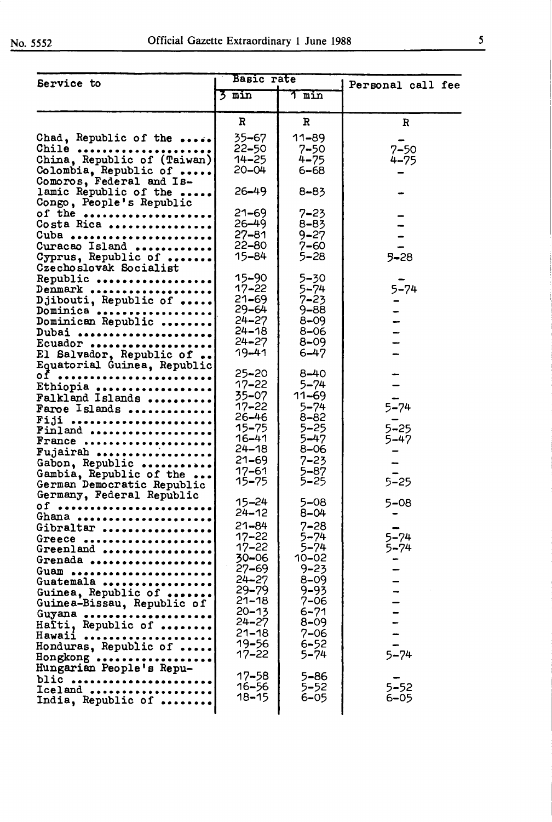| Service to                                        | Basic rate             |                       | Personal call fee |
|---------------------------------------------------|------------------------|-----------------------|-------------------|
|                                                   | $\frac{1}{2}$ min      | 1 min                 |                   |
|                                                   | R                      | $\mathbf{R}$          | R                 |
| Chad, Republic of the                             | 35-67                  | 11–89                 |                   |
| Chile                                             | 22–50                  | $7 - 50$              | $7 - 50$          |
| China, Republic of (Taiwan)                       | $14 - 25$              | $4 - 75$              | $4 - 75$          |
| Colombia, Republic of<br>Comoros, Federal and Is- | $20 - 04$              | 6–68                  |                   |
|                                                   |                        |                       |                   |
| lamic Republic of the                             | $26 - 49$              | $8 - 83$              |                   |
| Congo, People's Republic                          |                        |                       |                   |
| of the<br>Costa Rica                              | $21 - 69$<br>$26 - 49$ | $7 - 23$<br>$8 - 83$  |                   |
|                                                   | $27 - 81$              | $9 - 27$              |                   |
| Cuba<br>Curacao Island                            | $22 - 80$              | $7 - 60$              |                   |
| Cyprus, Republic of                               | 15-84                  | 5–28                  | $5 - 28$          |
| Czechoslovak Socialist                            |                        |                       |                   |
| Republic                                          | $15 - 90$              | $5 - 30$              |                   |
| Denmark                                           | $17 - 22$              | $5 - 74$              | $5 - 74$          |
| Djibouti, Republic of                             | $21 - 69$              | $7 - 23$              |                   |
| Dominica                                          | $29 - 64$              | $9 - 88$              |                   |
| Dominican Republic                                | $24 - 27$              | $8 - 09$              |                   |
| Dubai                                             | $24 - 18$              | 8–06                  |                   |
| Ecuador                                           | $24 - 27$              | $8 - 09$              |                   |
| El Salvador, Republic of                          | 19-41                  | $6 - 47$              |                   |
| Equatorial Guinea, Republic                       |                        |                       |                   |
| 0f                                                | $25 - 20$              | $8 - 40$              |                   |
| Ethiopia                                          | $17 - 22$<br>35–07     | $5 - 74$<br>$11 - 69$ |                   |
| Falkland Islands                                  | $17 - 22$              | $5 - 74$              | $5 - 74$          |
| Faroe Islands                                     | $26 - 46$              | $8 - 82$              |                   |
| Fiji<br>Finland                                   | $15 - 75$              | $5 - 25$              | $5 - 25$          |
| France                                            | 16–41                  | 5–47                  | $5 - 47$          |
| Fujairah                                          | $24 - 18$              | 8–06                  |                   |
| Gabon, Republic                                   | $21 - 69$              | $7 - 23$              |                   |
| Gambia, Republic of the                           | $17 - 61$              | $5 - 87$              |                   |
| German Democratic Republic                        | $15 - 75$              | $5 - 25$              | $5 - 25$          |
| Germany, Federal Republic                         |                        |                       |                   |
| Of                                                | $15 - 24$              | $5 - 08$              | $5 - 08$          |
| Ghana                                             | $24 - 12$              | $8 - 04$              |                   |
| Gibraltar                                         | $21 - 84$              | $7 - 28$              |                   |
| Greece                                            | $17 - 22$<br>$17 - 22$ | $5 - 74$              | $5 - 74$          |
| Greenland                                         | $30 - 06$              | $5 - 74$<br>$10 - 02$ | $5 - 74$          |
| Grenada                                           | $27 - 69$              | $9 - 23$              |                   |
| Guam                                              | $24 - 27$              | $8 - 09$              |                   |
| Guatemala<br>Guinea, Republic of                  | $29 - 79$              | $9 - 93$              |                   |
| Guinea-Bissau, Republic of                        | $21 - 18$              | $7 - 06$              |                   |
| Guyana                                            | $20 - 13$              | $6 - 71$              |                   |
| Hafti, Republic of                                | $24 - 27$              | $8 - 09$              |                   |
| Hawaii<br>.                                       | $21 - 18$              | $7 - 06$              |                   |
| Honduras, Republic of                             | 19-56                  | $6 - 52$              |                   |
| Hongkong                                          | 17–22                  | $5 - 74$              | $5 - 74$          |
| Hungarian People's Repu-                          |                        |                       |                   |
| blic                                              | 17–58                  | $5 - 86$              |                   |
| Iceland                                           | $16 - 56$<br>$18 - 15$ | $5 - 52$              | $5 - 52$          |
| India, Republic of                                |                        | $6 - 05$              | $6 - 05$          |
|                                                   |                        |                       |                   |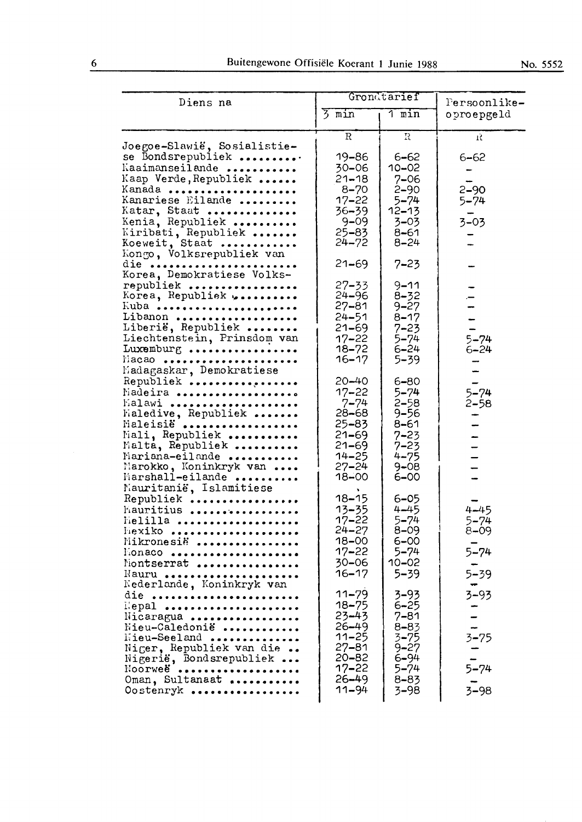| Diens na                                                                                                                                                                                                                              |                                                                                                                            | Grondtarief                                                                                                      | Persoonlike-                                         |  |
|---------------------------------------------------------------------------------------------------------------------------------------------------------------------------------------------------------------------------------------|----------------------------------------------------------------------------------------------------------------------------|------------------------------------------------------------------------------------------------------------------|------------------------------------------------------|--|
|                                                                                                                                                                                                                                       | $\overline{5}$ min                                                                                                         | $\overline{1}$ min                                                                                               | oproepgeld                                           |  |
|                                                                                                                                                                                                                                       | $\mathbf R$                                                                                                                | $\Omega$                                                                                                         | Ŕ                                                    |  |
| Joegoe-Slawië, Sosialistie-<br>se Bondsrepubliek<br>Kaaimanseilande<br>Kaap Verde, Republiek<br>Kanada<br>Kanariese Eilande<br>Katar, Staat<br>Kenia, Republiek<br>Kiribati, Republiek<br>Koeweit, Staat<br>Kongo, Volksrepubliek van | 19-86<br>30–06<br>$21 - 18$<br>$8 - 70$<br>$17 - 22$<br>$36 - 39$<br>$9 - 09$<br>$25 - 83$<br>$24 - 72$                    | $6 - 62$<br>10-02<br>$7 - 06$<br>$2 - 90$<br>$5 - 74$<br>$12 - 13$<br>3–03<br>8–61<br>$8 - 24$                   | $6 - 62$<br>$2 - 90$<br>$5 - 74$<br>$3 - 03$         |  |
| die<br>Korea, Demokratiese Volks-                                                                                                                                                                                                     | $21 - 69$                                                                                                                  | $7 - 23$                                                                                                         |                                                      |  |
| republiek<br>Korea, Republiek<br>Kuba<br>Libanon<br>Liberië, Republiek<br>Liechtenstein, Prinsdom van<br>Luxemburg<br>$Macao$                                                                                                         | $27 - 33$<br>$24 - 96$<br>$27 - 81$<br>$24 - 51$<br>$21 - 69$<br>$17 - 22$<br>18–72<br>16–17                               | $9 - 11$<br>$8 - 32$<br>$9 - 27$<br>$8 - 17$<br>$7 - 23$<br>5–74<br>$6 - 24$<br>$5 - 39$                         | $5 - 74$<br>$6 - 24$                                 |  |
| Madagaskar, Demokratiese<br>Republiek<br>Madeira<br>Malawi<br>Fialedive, Republiek<br>Maleisië<br>Mali, Republiek<br>Malta, Republiek<br>Mariana-eilande<br>Marokko, Koninkryk van<br>Marshall-eilande<br>Nauritanië, Islamitiese     | 20–40<br>$17 - 22$<br>$7 - 74$<br>28-68<br>$25 - 83$<br>$21 - 69$<br>$21 - 69$<br>$14 - 25$<br>$27 - 24$<br>$18 - 00$      | 6-80<br>$5 - 74$<br>$2 - 58$<br>9–56<br>$8 - 61$<br>$7 - 23$<br>$7 - 23$<br>$4 - 75$<br>$9 - 08$<br>6–00         | $5 - 74$<br>$2 - 58$                                 |  |
| Republiek<br>Mauritius<br>Melilla<br>.<br>Hexiko<br>Mikronesië<br>Honaco<br>Nontserrat<br>Nauru<br>Nederlande, Koninkryk van                                                                                                          | $18 - 15$<br>13-35<br>17–22<br>$24 - 27$<br>$18 - 00$<br>$17 - 22$<br>$30 - 06$<br>$16 - 17$                               | 6–05<br>$4 - 45$<br>$5 - 74$<br>$8 - 09$<br>6–00<br>$5 - 74$<br>$10 - 02$<br>$5 - 39$                            | $4 - 45$<br>5–74<br>$8 - 09$<br>$5 - 74$<br>$5 - 39$ |  |
| die<br>llepal<br>Nicaragua<br>Nieu-Caledonië<br>Mieu-Seeland<br>Niger, Republiek van die<br>Nigerië, Bondsrepubliek<br>Noorweë<br>Oman, Sultanaat<br>Oostenryk                                                                        | $11 - 79$<br>$18 - 75$<br>$23 - 43$<br>$26 - 49$<br>$11 - 25$<br>$27 - 81$<br>20-82<br>$17 - 22$<br>$26 - 49$<br>$11 - 94$ | $3 - 93$<br>$6 - 25$<br>$7 - 81$<br>$8 - 83$<br>$3 - 75$<br>$9 - 27$<br>6–94<br>$5 - 74$<br>$8 - 83$<br>$3 - 98$ | $3 - 93$<br>$3 - 75$<br>$5 - 74$<br>$3 - 98$         |  |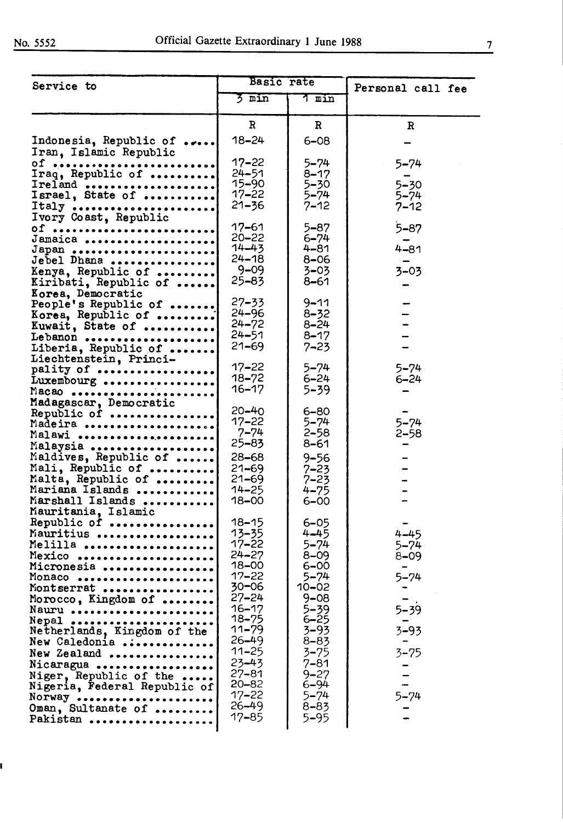ı

| Service to                                       | <b>Basic rate</b>      |                      | Personal call fee    |  |
|--------------------------------------------------|------------------------|----------------------|----------------------|--|
|                                                  | 3 min                  | T<br>min             |                      |  |
|                                                  | $\mathbb{R}$           | $\mathbf{R}$         | R                    |  |
| Indonesia, Republic of<br>Iran, Islamic Republic | $18 - 24$              | $6 - 08$             |                      |  |
| Of                                               | $17 - 22$              | $5 - 74$             | $5 - 74$             |  |
| Iraq, Republic of                                | $24 - 51$              | $8 - 17$             |                      |  |
| Ireland<br>Israel, State of                      | $15 - 90$<br>$17 - 22$ | $5 - 30$<br>$5 - 74$ | $5 - 30$<br>$5 - 74$ |  |
|                                                  | $21 - 36$              | $7 - 12$             | $7 - 12$             |  |
| Italy<br>Ivory Coast, Republic                   |                        |                      |                      |  |
| 0f<br>Jamaica                                    | $17 - 61$<br>$20 - 22$ | $5 - 87$<br>$6 - 74$ | $5 - 87$             |  |
| Japan                                            | $14 - 43$              | 4–81                 | $4 - 81$             |  |
| Jebel Dhana                                      | $24 - 18$              | 8–06                 |                      |  |
| Kenya, Republic of<br>Kiribati, Republic of      | $9 - 09$<br>$25 - 83$  | $3 - 03$<br>8–61     | $3 - 03$             |  |
| Korea, Democratic                                |                        |                      |                      |  |
| People's Republic of                             | $27 - 33$              | $9 - 11$             |                      |  |
| Korea, Republic of                               | $24 - 96$<br>$24 - 72$ | $8 - 32$<br>$8 - 24$ |                      |  |
| Kuwait, State of<br>Lebanon                      | $24 - 51$              | $8 - 17$             |                      |  |
| Liberia, Republic of                             | $21 - 69$              | $7 - 23$             |                      |  |
| Liechtenstein, Princi-                           | $17 - 22$              | $5 - 74$             | $5 - 74$             |  |
| pality of<br>Luxembourg                          | $18 - 72$              | $6 - 24$             | $6 - 24$             |  |
| Macao                                            | $16 - 17$              | 5–39                 |                      |  |
| Madagascar, Democratic                           | $20 - 40$              | $6 - 80$             |                      |  |
| Republic of<br>Madeira                           | $17 - 22$              | $5 - 74$             | $5 - 74$             |  |
| Malawi                                           | 7–74                   | $2 - 58$             | $2 - 58$             |  |
| Malaysia                                         | $25 - 83$              | 8–61                 |                      |  |
| Maldives, Republic of<br>Mali, Republic of       | $28 - 68$<br>$21 - 69$ | $9 - 56$<br>$7 - 23$ |                      |  |
| Malta, Republic of                               | $21 - 69$              | $7 - 23$             |                      |  |
| Mariana Islands                                  | $14 - 25$              | $4 - 75$             |                      |  |
| Marshall Islands<br>Mauritania, Islamic          | $18 - 00$              | 6–00                 |                      |  |
| Republic of                                      | $18 - 15$              | $6 - 05$             |                      |  |
| Mauritius                                        | 13–35                  | $4 - 45$             | $4 - 45$             |  |
| Melilla<br>                                      | $17 - 22$              | $5 - 74$             | $5 - 74$             |  |
| Mexico<br>Micronesia                             | $24 - 27$<br>$18 - 00$ | $8 - 09$<br>$6 - 00$ | $8 - 09$             |  |
| Monaco                                           | $17 - 22$              | $5 - 74$             | $5 - 74$             |  |
| Montserrat                                       | $30 - 06$              | 10–02                |                      |  |
| Morocco, Kingdom of<br>Nauru                     | $27 - 24$<br>$16 - 17$ | $9 - 08$<br>$5 - 39$ | $5 - 39$             |  |
| Nepal                                            | $18 - 75$              | $6 - 25$             |                      |  |
| Netherlands, Kingdom of the                      | $11 - 79$<br>$26 - 49$ | $3 - 93$             | $3 - 93$             |  |
| New Caledonia<br>New Zealand                     | $11 - 25$              | $8 - 83$<br>$3 - 75$ | $3 - 75$             |  |
| Nicaragua                                        | $23 - 43$              | 7–81                 |                      |  |
| Niger, Republic of the                           | $27 - 81$              | $9 - 27$             |                      |  |
| Nigeria, Federal Republic of                     | $20 - 82$<br>$17 - 22$ | $6 - 94$<br>$5 - 74$ | $5 - 74$             |  |
| Norway<br>Oman, Sultanate of                     | $26 - 49$              | 8–83                 |                      |  |
| Pakistan                                         | $17 - 85$              | 5–95                 |                      |  |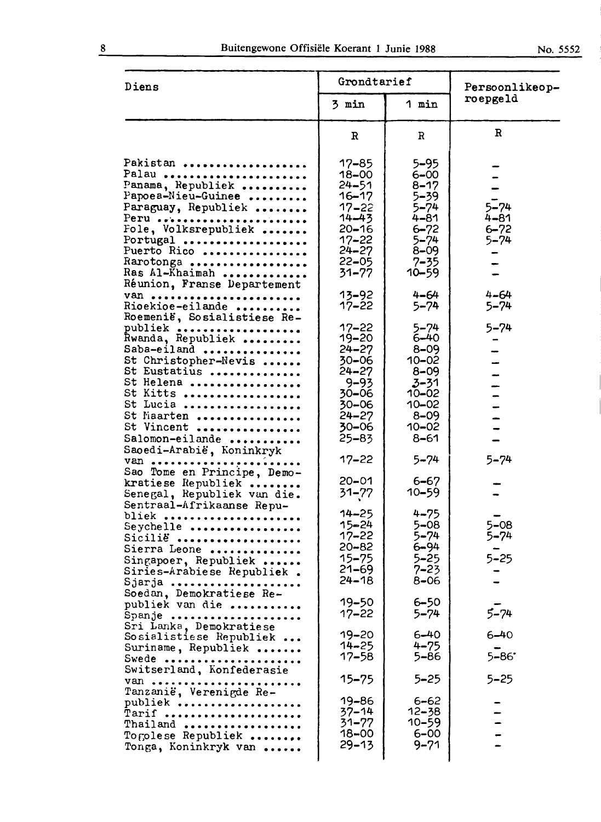| Diens                                                                                                                                                                                                        | Grondtarief                                                                                                                                 |                                                                                                                                      | Persoonlikeop-                               |  |
|--------------------------------------------------------------------------------------------------------------------------------------------------------------------------------------------------------------|---------------------------------------------------------------------------------------------------------------------------------------------|--------------------------------------------------------------------------------------------------------------------------------------|----------------------------------------------|--|
|                                                                                                                                                                                                              | 3 min                                                                                                                                       | 1 min                                                                                                                                | roepgeld                                     |  |
|                                                                                                                                                                                                              | $\mathbf R$                                                                                                                                 | $\mathbf R$                                                                                                                          | $\mathbf R$                                  |  |
| Pakistan<br>Palau<br>Panama, Republiek<br>Papoea-Nieu-Guinee<br>Paraguay, Republiek<br>Peru<br>Fole, Volksrepubliek<br>Portugal<br>Puerto Rico<br>Rarotonga<br>Ras Al-Khaimah<br>Réunion, Franse Departement | $17 - 85$<br>$18 - 00$<br>$24 - 51$<br>$16 - 17$<br>$17 - 22$<br>$14 - 43$<br>$20 - 16$<br>$17 - 22$<br>$24 - 27$<br>$22 - 05$<br>$31 - 77$ | 5–95<br>$6 - 00$<br>$8 - 17$<br>$5 - 39$<br>$5 - 74$<br>$4 - 81$<br>$6 - 72$<br>$5 - 74$<br>$8 - 09$<br>$7 - 35$<br>$10 - 59$        | $5 - 74$<br>$4 - 81$<br>$6 - 72$<br>$5 - 74$ |  |
| van<br>Rioekioe-eilande<br>Roemenië, Sosialistiese Re-                                                                                                                                                       | 13-92<br>$17 - 22$                                                                                                                          | $4 - 64$<br>$5 - 74$                                                                                                                 | $4 - 64$<br>$5 - 74$                         |  |
| publiek<br>Rwanda, Republiek<br>Saba-eiland<br>St Christopher-Nevis<br>St Eustatius<br>St Helena<br>St Kitts<br>St Lucia<br>St Maarten<br>St Vincent<br>Salomon-eilande<br>Saoedi-Arabië, Koninkryk          | $17 - 22$<br>$19 - 20$<br>$24 - 27$<br>$30 - 06$<br>$24 - 27$<br>$9 - 93$<br>$30 - 06$<br>$30 - 06$<br>$24 - 27$<br>$30 - 06$<br>$25 - 83$  | $5 - 74$<br>$6 - 40$<br>$8 - 09$<br>$10 - 02$<br>$8 - 09$<br>$3 - 31$<br>$10 - 02$<br>$10 - 02$<br>$8 - 09$<br>$10 - 02$<br>$8 - 61$ | $5 - 74$<br>-                                |  |
| Van<br>Sao Tome en Principe, Demo-                                                                                                                                                                           | $17 - 22$                                                                                                                                   | $5 - 74$                                                                                                                             | $5 - 74$                                     |  |
| kratiese Republiek<br>Senegal, Republiek van die.<br>Sentraal-Afrikaanse Repu-                                                                                                                               | $20 - 01$<br>$31 - 77$                                                                                                                      | $6 - 67$<br>$10 - 59$                                                                                                                |                                              |  |
| bliek<br>Seychelle<br>Sicilië<br>Sierra Leone<br>Singapoer, Republiek<br>Siries-Arabiese Republiek.<br>Sjarja                                                                                                | $14 - 25$<br>$15 - 24$<br>$17 - 22$<br>$20 - 82$<br>$15 - 75$<br>$21 - 69$<br>$24 - 18$                                                     | $4 - 75$<br>$5 - 08$<br>$5 - 74$<br>6-94<br>$5 - 25$<br>7–23<br>$8 - 06$                                                             | $5 - 08$<br>5–74<br>5–25                     |  |
| Soedan, Demokratiese Re-<br>publiek van die<br>Spanje                                                                                                                                                        | 19–50<br>$17 - 22$                                                                                                                          | $6 - 50$<br>5–74                                                                                                                     | $5 - 74$                                     |  |
| Sri Lanka, Demokratiese<br>Sosialistiese Republiek<br>Suriname, Republiek<br>Swede                                                                                                                           | $19 - 20$<br>$14 - 25$<br>$17 - 58$                                                                                                         | $6 - 40$<br>$4 - 75$<br>5–86                                                                                                         | $6 - 40$<br>$5 - 86$                         |  |
| Switserland, Konfederasie<br>van                                                                                                                                                                             | 15–75                                                                                                                                       | 5–25                                                                                                                                 | 5–25                                         |  |
| Tanzanië, Verenigde Re-<br>publiek<br>Tarif<br>Thailand<br>Togolese Republiek<br>Tonga, Koninkryk van                                                                                                        | 19-86<br>37–14<br>31–77<br>$18 - 00$<br>$29 - 13$                                                                                           | $6 - 62$<br>12–38<br>10–59<br>$6 - 00$<br>9–71                                                                                       |                                              |  |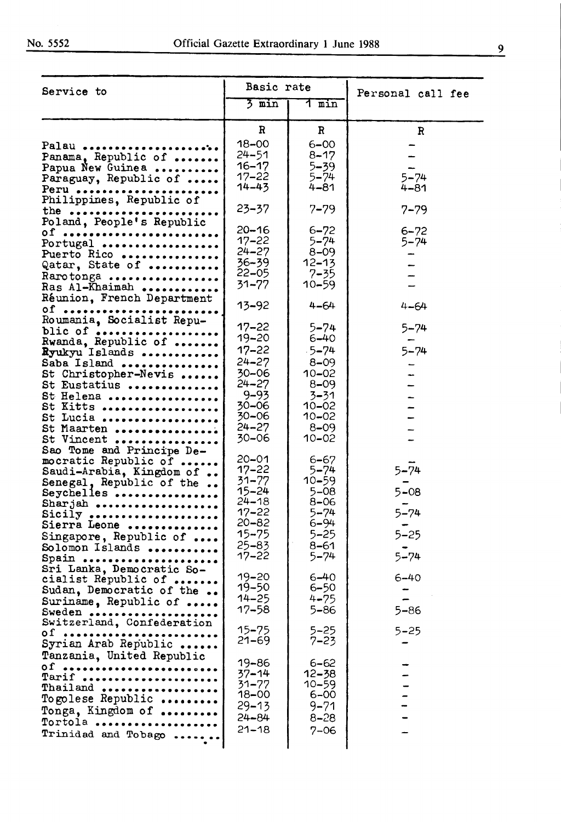| Service to                                                                                                                                                                                            | Basic rate                                                                                                                                  |                                                                                                                                           | Personal call fee                                        |
|-------------------------------------------------------------------------------------------------------------------------------------------------------------------------------------------------------|---------------------------------------------------------------------------------------------------------------------------------------------|-------------------------------------------------------------------------------------------------------------------------------------------|----------------------------------------------------------|
|                                                                                                                                                                                                       | $\frac{1}{2}$ min                                                                                                                           | 1 min                                                                                                                                     |                                                          |
|                                                                                                                                                                                                       | R                                                                                                                                           | $\mathbf R$                                                                                                                               | $\mathbf R$                                              |
| Palau<br>Panama, Republic of<br>Papua New Guinea<br>Paraguay, Republic of<br>$Perv \dots$                                                                                                             | 18-00<br>24–51<br>16–17<br>$17 - 22$<br>$14 - 43$                                                                                           | $6 - 00$<br>$8 - 17$<br>5–39<br>$5 - 74$<br>4–81                                                                                          | $5 - 74$<br>$4 - 81$                                     |
| Philippines, Republic of<br>the $\cdots$                                                                                                                                                              | $23 - 37$                                                                                                                                   | $7 - 79$                                                                                                                                  | $7 - 79$                                                 |
| Poland, People's Republic<br>Of<br>Portugal<br>Puerto Rico<br>Qatar, State of<br>Rarotonga<br>Ras Al-Khaimah<br>Réunion, French Department                                                            | $20 - 16$<br>$17 - 22$<br>$24 - 27$<br>36-39<br>$22 - 05$<br>$31 - 77$                                                                      | $6 - 72$<br>$5 - 74$<br>$8 - 09$<br>$12 - 13$<br>$7 - 35$<br>$10 - 59$                                                                    | $6 - 72$<br>$5 - 74$                                     |
| $of$<br>Roumania, Socialist Repu-                                                                                                                                                                     | $13 - 92$                                                                                                                                   | $4 - 64$                                                                                                                                  | $4 - 64$                                                 |
| blic of<br>Rwanda, Republic of<br>Ryukyu Islands<br>Saba Island<br>St Christopher-Nevis<br>St Eustatius<br>St Helena<br>St Kitts<br>St Lucia<br>St Maarten<br>St Vincent<br>Sao Tome and Principe De- | $17 - 22$<br>$19 - 20$<br>$17 - 22$<br>$24 - 27$<br>30-06<br>$24 - 27$<br>$9 - 93$<br>$30 - 06$<br>30-06<br>$24 - 27$<br>30-06<br>$20 - 01$ | $5 - 74$<br>6–40<br>$-5 - 74$<br>$8 - 09$<br>$10 - 02$<br>$8 - 09$<br>3-31<br>$10 - 02$<br>$10 - 02$<br>$8 - 09$<br>$10 - 02$<br>$6 - 67$ | $5 - 74$<br>$5 - 74$                                     |
| mocratic Republic of<br>Saudi-Arabia, Kingdom of<br>Senegal, Republic of the<br>Seychelles<br>Sharjah<br>Sicily<br>Sierra Leone<br>Singapore, Republic of<br>Solomon Islands<br>Spain                 | $17 - 22$<br>$31 - 77$<br>$15 - 24$<br>$24 - 18$<br>$17 - 22$<br>20-82<br>$15 - 75$<br>$25 - 83$<br>17–22                                   | $5 - 74$<br>$10 - 59$<br>$5 - 08$<br>8–06<br>5–74<br>$6 - 94$<br>5–25<br>$8 - 61$<br>5–74                                                 | $5 - 74$<br>$5 - 08$<br>$5 - 74$<br>$5 - 25$<br>$5 - 74$ |
| Sri Lanka, Democratic So-<br>cialist Republic of<br>Sudan, Democratic of the<br>Suriname, Republic of<br>Sweden                                                                                       | $19 - 20$<br>19–50<br>$14 - 25$<br>$17 - 58$                                                                                                | $6 - 40$<br>6–50<br>$4 - 75$<br>5–86                                                                                                      | 6–40<br>$5 - 86$                                         |
| Switzerland, Confederation<br>$of \dots$<br>Syrian Arab Republic                                                                                                                                      | 15–75<br>$21 - 69$                                                                                                                          | 5–25<br>7–23.                                                                                                                             | $5 - 25$                                                 |
| Tanzania, United Republic<br>$of$ $\dots$<br>Tarif<br>Thailand<br>Togolese Republic<br>Tonga, Kingdom of<br>Tortola<br>Trinidad and Tobago                                                            | 19–86<br>$37 - 14$<br>$31 - 77$<br>18–00<br>29–13<br>24-84<br>$21 - 18$                                                                     | 6–62<br>12–38<br>$10 - 59$<br>6–00<br>9–71<br>8–28<br>7–06                                                                                |                                                          |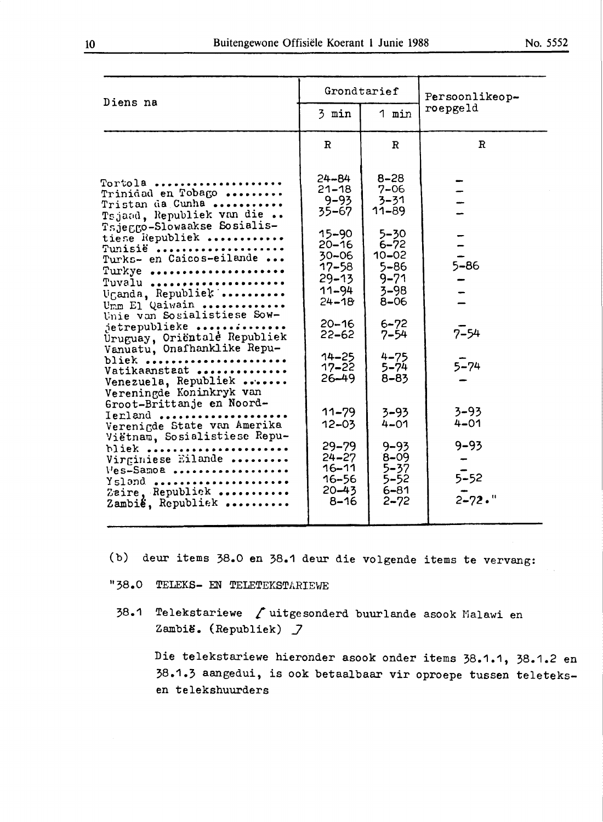| Diens na                                                                                                                                                                                                                                                                                                                                                                                                                                                                                                                                                                                                                              | Grondtarief                                                                                                                                                                                                                                                                                            |                                                                                                                                                                                                                                                                                                | Persoonlikeop-                                                                                  |
|---------------------------------------------------------------------------------------------------------------------------------------------------------------------------------------------------------------------------------------------------------------------------------------------------------------------------------------------------------------------------------------------------------------------------------------------------------------------------------------------------------------------------------------------------------------------------------------------------------------------------------------|--------------------------------------------------------------------------------------------------------------------------------------------------------------------------------------------------------------------------------------------------------------------------------------------------------|------------------------------------------------------------------------------------------------------------------------------------------------------------------------------------------------------------------------------------------------------------------------------------------------|-------------------------------------------------------------------------------------------------|
|                                                                                                                                                                                                                                                                                                                                                                                                                                                                                                                                                                                                                                       | 3 min                                                                                                                                                                                                                                                                                                  | 1 min                                                                                                                                                                                                                                                                                          | roepgeld                                                                                        |
|                                                                                                                                                                                                                                                                                                                                                                                                                                                                                                                                                                                                                                       | $\mathbf R$                                                                                                                                                                                                                                                                                            | $\mathbf R$                                                                                                                                                                                                                                                                                    | $\mathbb{R}$                                                                                    |
| Tortola<br>Trinidad en Tobago<br>Tristan da Cunha<br>Tsjaad, Republiek van die<br>Tsjeggo-Slowaakse Sosialis-<br>tiese Republiek<br>Tunisië<br>Turks- en Caicos-eilande<br>Turkye<br>Tuvalu<br>Uganda, Republick<br>Umm El Qaiwain<br>Unie van Sosialistiese Sow-<br>jetrepublieke<br>Uruguay, Oriëntale Republiek<br>Vanuatu, Onafhanklike Repu-<br>bliek<br>Vatikaanstaat<br>Venezuela, Republiek<br>Vereningde Koninkryk van<br>Groot-Brittanje en Noord-<br>Ierland<br>Verenigde State van Amerika<br>Viëtnam, Sosialistiese Repu-<br>bliek<br>Virginiese Eilande<br>Ves-Samoa<br>Ysland<br>Zaire. Republick<br>Zambié, Republiek | $24 - 84$<br>$21 - 18$<br>$9 - 93$<br>$35 - 67$<br>15-90<br>$20 - 16$<br>$30 - 06$<br>17–58<br>$29 - 13$<br>$11 - 94$<br>$24 - 18$<br>$20 - 16$<br>22–62<br>$14 - 25$<br>$17 - 22$<br>$26 - 49$<br>$11 - 79$<br>$12 - 03$<br>$29 - 79$<br>$24 - 27$<br>$16 - 11$<br>$16 - 56$<br>$20 - 43$<br>$8 - 16$ | $8 - 28$<br>$7 - 06$<br>$3 - 31$<br>$11 - 89$<br>$5 - 30$<br>$6 - 72$<br>$10 - 02$<br>$5 - 86$<br>$9 - 71$<br>$3 - 98$<br>$8 - 06$<br>$6 - 72$<br>$7 - 54$<br>$4 - 75$<br>$5 - 74$<br>$8 - 83$<br>$3 - 93$<br>$4 - 01$<br>$9 - 93$<br>$8 - 09$<br>$5 - 37$<br>$5 - 52$<br>$6 - 81$<br>$2 - 72$ | $5 - 86$<br>$7 - 54$<br>$5 - 74$<br>$3 - 93$<br>$4 - 01$<br>$9 - 93$<br>$5 - 52$<br>$2 - 72.$ " |
|                                                                                                                                                                                                                                                                                                                                                                                                                                                                                                                                                                                                                                       |                                                                                                                                                                                                                                                                                                        |                                                                                                                                                                                                                                                                                                |                                                                                                 |

- (b) deur items 38.0 en 38.1 deur die volgende items te vervang:
- "38.0 TELEKS- EN TELETEKSTARIEWE
- 38.1 Telekstariewe fuitgesonderd buurlande asook Malawi en Zambië. (Republiek) *J*

Die telekstariewe hieronder asook onder items 38.1.1, 38.1.2 en 38.1.3 aangedui, is ook betaalbaar vir oproepe tussen teleteksen telekshuurders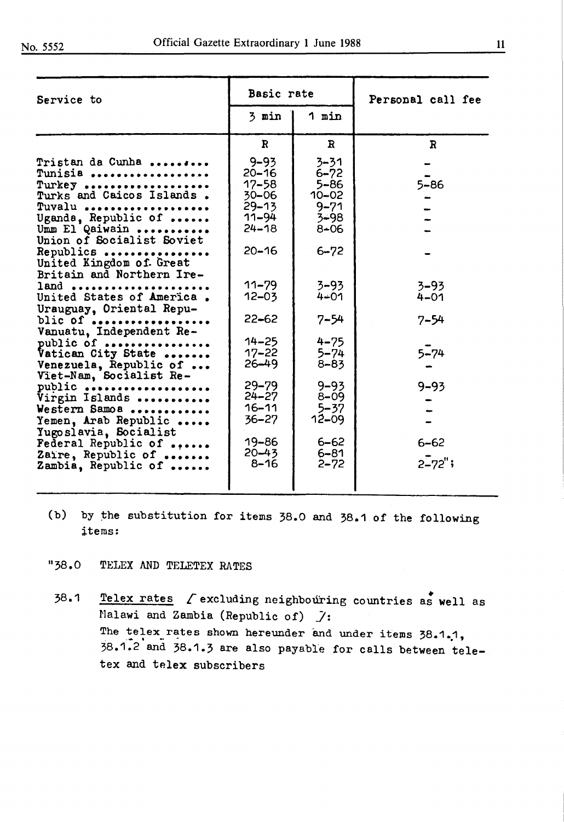| Service to                                                                                                                                                                                                                                                                                    | Basic rate                                                                                                                                 |                                                                                                                               | Personal call fee                                           |
|-----------------------------------------------------------------------------------------------------------------------------------------------------------------------------------------------------------------------------------------------------------------------------------------------|--------------------------------------------------------------------------------------------------------------------------------------------|-------------------------------------------------------------------------------------------------------------------------------|-------------------------------------------------------------|
|                                                                                                                                                                                                                                                                                               | 3 min                                                                                                                                      | 1 min                                                                                                                         |                                                             |
|                                                                                                                                                                                                                                                                                               | $\mathbf{R}$                                                                                                                               | $\mathbf{R}$                                                                                                                  | $\mathbf{R}$                                                |
| Tristan da Cunha<br>Tunisia<br>Turkey<br>Turks and Caicos Islands.<br>Tuvalu<br>Uganda, Republic of<br>Umm El Qaiwain<br>Union of Socialist Soviet<br>Republics<br>United Kingdom of. Great                                                                                                   | $9 - 93$<br>$20 - 16$<br>17–58<br>$30 - 06$<br>$29 - 13$<br>$11 - 94$<br>$24 - 18$<br>$20 - 16$                                            | $3 - 31$<br>$6 - 72$<br>$5 - 86$<br>$10 - 02$<br>$9 - 71$<br>$3 - 98$<br>$8 - 06$<br>$6 - 72$                                 | $5 - 86$                                                    |
| Britain and Northern Ire-<br>land<br>United States of America.<br>Urauguay, Oriental Repu-                                                                                                                                                                                                    | $11 - 79$<br>$12 - 03$                                                                                                                     | $3 - 93$<br>$4 - 01$                                                                                                          | $3 - 93$<br>$4 - 01$                                        |
| blic of<br>Vanuatu, Independent Re-<br>public of<br>Vatican City State<br>Venezuela, Republic of<br>Viet-Nam, Socialist Re-<br>public<br>Virgin Islands<br>Western Samoa<br>Yemen, Arab Republic<br>Yugoslavia, Socialist<br>Federal Republic of<br>Zaire, Republic of<br>Zambia, Republic of | $22 - 62$<br>$14 - 25$<br>$17 - 22$<br>$26 - 49$<br>$29 - 79$<br>$24 - 27$<br>$16 - 11$<br>$36 - 27$<br>$19 - 86$<br>$20 - 43$<br>$8 - 16$ | 7–54<br>$4 - 75$<br>$5 - 74$<br>$8 - 83$<br>$9 - 93$<br>$8 - 09$<br>$5 - 37$<br>$12 - 09$<br>$6 - 62$<br>$6 - 81$<br>$2 - 72$ | $7 - 54$<br>$5 - 74$<br>$9 - 93$<br>$6 - 62$<br>$2 - 72$ "; |
|                                                                                                                                                                                                                                                                                               |                                                                                                                                            |                                                                                                                               |                                                             |

(b) by the substitution for items  $38.0$  and  $38.1$  of the following ;items:

"38.0 TELEX AND TELETEX RATES

38.1 **Telex** • rates £excluding neighbotlring countries as **well** as Malawi and Zambia (Republic of) *]:*  The telex rates shown hereunder and under items 38.1.1, 38.1.2 and 38.1.3 are also payable for calls between teletex and telex subscribers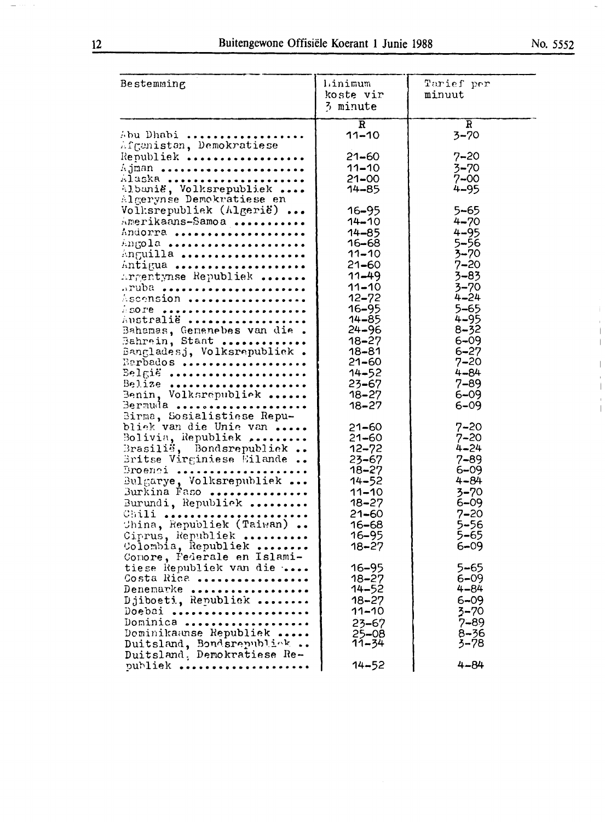| Bestemming                                                                                                                                                                                                                                                                                      | Linimum<br>koste vir<br>3 minute                                                                                                                                                                               | Tarief per<br>minuut                                                                                                                                                                                    |
|-------------------------------------------------------------------------------------------------------------------------------------------------------------------------------------------------------------------------------------------------------------------------------------------------|----------------------------------------------------------------------------------------------------------------------------------------------------------------------------------------------------------------|---------------------------------------------------------------------------------------------------------------------------------------------------------------------------------------------------------|
| Abu Dhabi<br>Afgenisten, Demokratiese<br>Republiek<br>Ajman<br>Alaska<br>Albanië, Volksrepubliek<br>Algerynse Demokratiese en<br>Volksrepubliek (Algerië)<br>Amerikaans-Samoa<br>Andorra<br>Angola<br>Anguilla<br>Antigua<br>$Argentropy$ Republiek<br>aruba<br>Ascension<br>$\frac{1}{2}$ SOTE | $\overline{\mathbf{R}}$<br>$11 - 10$<br>$21 - 60$<br>$11 - 10$<br>$21 - 00$<br>14–85<br>$16 - 95$<br>$14 - 10$<br>$14 - 85$<br>16–68<br>$11 - 10$<br>$21 - 60$<br>$11 - 49$<br>$11 - 10$<br>$12 - 72$<br>16-95 | $\overline{\textbf{R}}$<br>$3 - 70$<br>$7 - 20$<br>$3 - 70$<br>$7 - 00$<br>4–95<br>$5 - 65$<br>$4 - 70$<br>$4 - 95$<br>$5 - 56$<br>$3 - 70$<br>$7 - 20$<br>$3 - 83$<br>$3 - 70$<br>$4 - 24$<br>$5 - 65$ |
| Australië<br>Bahamas, Gemenebes van die<br>Bahrein, Staat<br>Bangladesj, Volksrepubliek.<br>Barbados<br>$Be1$ gië<br>$Bef12e$<br>Benin, Volksrepubliek<br>Bermuda<br>Birma, Sosialistiese Repu-<br>bliek van die Unie van<br>Bolivia, Republiek<br>Brasilië, Bondsrepubliek                     | $14 - 85$<br>$24 - 96$<br>$18 - 27$<br>$18 - 81$<br>$21 - 60$<br>$14 - 52$<br>$23 - 67$<br>$18 - 27$<br>$18 - 27$<br>$21 - 60$<br>$21 - 60$<br>$12 - 72$                                                       | $4 - 95$<br>$8 - 32$<br>$6 - 09$<br>$6 - 27$<br>$7 - 20$<br>$4 - 84$<br>$7 - 89$<br>$6 - 09$<br>$6 - 09$<br>$7 - 20$<br>$7 - 20$<br>$4 - 24$                                                            |

| België<br>$B$ elize<br>Benin, Volksrepubliek<br>Bermuda<br>Birma, Sosialistiese Repu-                                                                                                                                                                                | $14 - 52$<br>$23 - 67$<br>$18 - 27$<br>$18 - 27$                                                                                                     | $4 - 84$<br>$7 - 89$<br>$6 - 09$<br>$6 - 09$                                                                                                 |
|----------------------------------------------------------------------------------------------------------------------------------------------------------------------------------------------------------------------------------------------------------------------|------------------------------------------------------------------------------------------------------------------------------------------------------|----------------------------------------------------------------------------------------------------------------------------------------------|
| bliek van die Unie van<br>Bolivia, Republiek<br>Brasilië, Bondsrepubliek<br>Britse Virginiese Eilande<br>Broenci<br>Bulgarye, Volksrepubliek<br>Burkina Faso<br>Burundi, Republick<br>Chili<br>China, Republiek (Taiwan)<br>Ciprus, Republiek<br>Colombia, Republiek | $21 - 60$<br>$21 - 60$<br>$12 - 72$<br>$23 - 67$<br>$18 - 27$<br>$14 - 52$<br>$11 - 10$<br>$18 - 27$<br>$21 - 60$<br>16–68<br>$16 - 95$<br>$18 - 27$ | $7 - 20$<br>$7 - 20$<br>$4 - 24$<br>$7 - 89$<br>$6 - 09$<br>$4 - 84$<br>$3 - 70$<br>$6 - 09$<br>$7 - 20$<br>$5 - 56$<br>$5 - 65$<br>$6 - 09$ |
| Comore, Federale en Islami-<br>tiese Republiek van die<br>Costa Rica<br>Denemarke<br>Djiboeti, Republick<br>Doebai<br>Dominica<br>Dominikaanse Republiek<br>Duitsland, Bondsrepublick<br>Duitsland, Demokratiese Re-                                                 | $16 - 95$<br>$18 - 27$<br>$14 - 52$<br>$18 - 27$<br>$11 - 10$<br>$23 - 67$<br>$25 - 08$<br>11-34                                                     | 5–65<br>$6 - 09$<br>4-84<br>$6 - 09$<br>$3 - 70$<br>$7 - 89$<br>$8 - 36$<br>3–78.                                                            |
| publiek                                                                                                                                                                                                                                                              | $14 - 52$                                                                                                                                            | $4 - 84$                                                                                                                                     |

 $\overline{\phantom{a}}$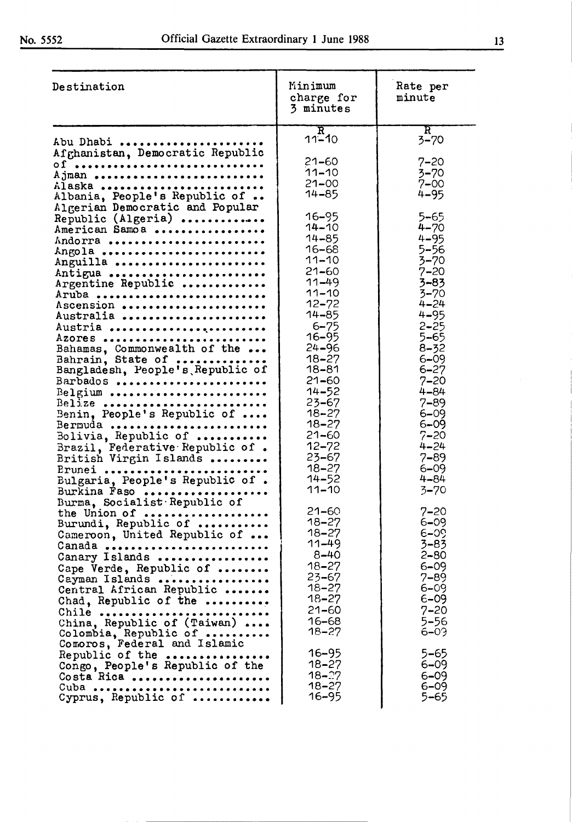| Destination                                                                                                                                                                                                                                                                                                                                                                                                                                                                                                                                                                                                                                                                                                                                                                                                                                                                         | Minimum<br>charge for<br>3 minutes                                                                                                                                                                                                                                                                                                                                                                                                                                                                                                                             | Rate per<br>minute                                                                                                                                                                                                                                                                                                                                                                                                                                                                                                        |
|-------------------------------------------------------------------------------------------------------------------------------------------------------------------------------------------------------------------------------------------------------------------------------------------------------------------------------------------------------------------------------------------------------------------------------------------------------------------------------------------------------------------------------------------------------------------------------------------------------------------------------------------------------------------------------------------------------------------------------------------------------------------------------------------------------------------------------------------------------------------------------------|----------------------------------------------------------------------------------------------------------------------------------------------------------------------------------------------------------------------------------------------------------------------------------------------------------------------------------------------------------------------------------------------------------------------------------------------------------------------------------------------------------------------------------------------------------------|---------------------------------------------------------------------------------------------------------------------------------------------------------------------------------------------------------------------------------------------------------------------------------------------------------------------------------------------------------------------------------------------------------------------------------------------------------------------------------------------------------------------------|
| Abu Dhabi<br>Afghanistan, Democratic Republic<br>$01$<br>Ajman<br>Alaska<br>Albania, People's Republic of<br>Algerian Democratic and Popular<br>Republic (Algeria)<br>American Samoa<br>Andorra<br>Angola<br>Anguilla<br>Antigua<br>Argentine Republic<br>Aruba<br>Ascension<br>Australia<br>Austria<br>Azores<br>Bahamas, Commonwealth of the<br>Bahrain, State of<br>Bangladesh, People's Republic of<br>Barbados<br>Belgium<br>Belize<br>Benin, People's Republic of<br>Bermuda<br>Bolivia, Republic of<br>Brazil, Federative Republic of.<br>British Virgin Islands<br>Erunei<br>Bulgaria, People's Republic of.<br>Burkina Faso<br>Burma, Socialist Republic of<br>the Union of<br>Burundi, Republic of<br>Cameroon, United Republic of<br>Canada<br>Canary Islands<br>Cape Verde, Republic of<br>Cayman Islands<br>Central African Republic<br>Chad, Republic of the<br>Chile | $\overline{\text{R}}$<br>11–ี10<br>$21 - 60$<br>$11 - 10$<br>$21 - 00$<br>14-85<br>$16 - 95$<br>$14 - 10$<br>$14 - 85$<br>16-68<br>$11 - 10$<br>$21 - 60$<br>$11 - 49$<br>$11 - 10$<br>$12 - 72$<br>$14 - 85$<br>$6 - 75$<br>16–95<br>$24 - 96$<br>$18 - 27$<br>18-81<br>$21 - 60$<br>$14 - 52$<br>$23 - 67$<br>$18 - 27$<br>18–27<br>$21 - 60$<br>$12 - 72$<br>$23 - 67$<br>$18 - 27$<br>$14 - 52$<br>$11 - 10$<br>$21 - 60$<br>$18 - 27$<br>$18 - 27$<br>$11 - 49$<br>$8 - 40$<br>$18 - 27$<br>$23 - 67$<br>$18 - 27$<br>$18 - 27$<br>$21 - 60$<br>$16 - 68$ | $\mathbf{R}^-$<br>$3 - 70$<br>$7 - 20$<br>$3 - 70$<br>$7 - 00$<br>$4 - 95$<br>$5 - 65$<br>$4 - 70$<br>$4 - 95$<br>$5 - 56$<br>$3 - 70$<br>$7 - 20$<br>$3 - 83$<br>$3 - 70$<br>$4 - 24$<br>$4 - 95$<br>$2 - 25$<br>$5 - 65$<br>$8 - 32$<br>$6 - 09$<br>$6 - 27$<br>$7 - 20$<br>$4 - 84$<br>$7 - 89$<br>$6 - 09$<br>$6 - 09$<br>$7 - 20$<br>$4 - 24$<br>$7 - 89$<br>$6 - 09$<br>$4 - 84$<br>$3 - 70$<br>$7 - 20$<br>6–09<br>$6 - 0$<br>$3 - 83$<br>2–80<br>$6 - 09$<br>$7 - 89$<br>$6 - 09$<br>$6 - 09$<br>$7 - 20$<br>5–56 |
| China, Republic of (Taiwan)<br>Colombia, Republic of<br>Comoros, Federal and Islamic<br>Republic of the<br>Congo, People's Republic of the<br>Costa Rica<br>Cuba<br>Cyprus, Republic of                                                                                                                                                                                                                                                                                                                                                                                                                                                                                                                                                                                                                                                                                             | $18 - 27$<br>16–95<br>$18 - 27$<br>$18 - 27$<br>$18 - 27$<br>16–95                                                                                                                                                                                                                                                                                                                                                                                                                                                                                             | $6 - 03$<br>5–65<br>$6 - 09$<br>$6 - 09$<br>$6 - 09$<br>5–65                                                                                                                                                                                                                                                                                                                                                                                                                                                              |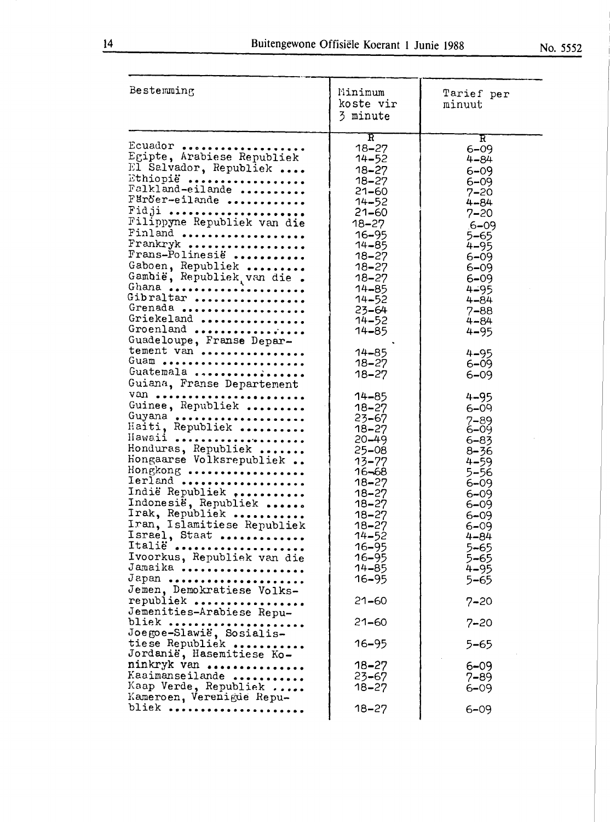| Bestemming                                                                                                                                                                                                                                                                                                                                                       | Minimum<br>koste vir<br>3 minute                                                                                                                                                                                      | Tarief per<br>minuut                                                                                                                                                                                     |
|------------------------------------------------------------------------------------------------------------------------------------------------------------------------------------------------------------------------------------------------------------------------------------------------------------------------------------------------------------------|-----------------------------------------------------------------------------------------------------------------------------------------------------------------------------------------------------------------------|----------------------------------------------------------------------------------------------------------------------------------------------------------------------------------------------------------|
| Ecuador<br>Egipte, Arabiese Republiek<br>El Salvador, Republiek<br>Ethiopië<br>Falkland-eilande<br>Färöer-eilande<br>Fidji<br>Filippyne Republiek van die<br>Finland<br>Frankryk<br>Frans-Polinesië<br>Gaboen, Republiek<br>Gambie, Republiek van die.<br>Ghana<br>Gibraltar<br>Grenada<br>Griekeland<br>Groenland                                               | $\mathbf R$<br>$18 - 27$<br>14-52<br>$18 - 27$<br>$18 - 27$<br>$21 - 60$<br>$14 - 52$<br>21–60<br>$18 - 27$<br>$16 - 95$<br>$14 - 85$<br>18–27<br>$18 - 27$<br>18–27<br>14-85<br>$14 - 52$<br>23–64<br>14–52<br>14–85 | R<br>$6 - 09$<br>4–84<br>$6 - 09$<br>$6 - 09$<br>$7 - 20$<br>4-84<br>$7 - 20$<br>$.6 - 09$<br>5–65<br>$4 - 95$<br>$6 - 09$<br>$6 - 09$<br>$6 - 09$<br>$4 - 95$<br>4–84<br>$7 - 88$<br>4-84<br>$4 - 95$   |
| Guadeloupe, Franse Depar-<br>tement van<br>Guam<br>Guatemala<br>Guiana, Franse Departement                                                                                                                                                                                                                                                                       | 14-85<br>18–27<br>18–27                                                                                                                                                                                               | $4 - 95$<br>$6 - 09$<br>$6 - 09$                                                                                                                                                                         |
| van<br>Guinee, Republiek<br>Guyana<br>Haiti, Republiek<br>Hawaii<br>Honduras, Republiek<br>Hongaarse Volksrepubliek<br>Hongkong<br>Ierland<br>Indië Republiek<br>Indonesië, Republiek<br>Irak, Republick<br>Iran, Islamitiese Republiek<br>Israel, Staat<br>Italië<br>Ivoorkus, Republiek van die<br>Jamaika<br>Japan<br>Jemen, Demokratiese Volks-<br>republiek | 14-85<br>$18 - 27$<br>$23 - 67$<br>$18 - 27$<br>$20 - 49$<br>25-08<br>$13 - 77$<br>$16 - 68$<br>$18 - 27$<br>18–27<br>$18 - 27$<br>18-27<br>$18 - 27$<br>$14 - 52$<br>16–95<br>16–95<br>14-85<br>16–95<br>$21 - 60$   | $4 - 95$<br>$6 - 09$<br>$7 - 89$<br>6–09<br>$6 - 83$<br>$8 - 36$<br>$4 - 59$<br>$5 - 56$<br>$6 - 09$<br>$6 - 09$<br>6–09<br>$6 - 09$<br>$6 - 09$<br>4–84<br>5–65<br>5–65<br>$4 - 95$<br>5–65<br>$7 - 20$ |
| Jemenities-Arabiese Repu-                                                                                                                                                                                                                                                                                                                                        |                                                                                                                                                                                                                       |                                                                                                                                                                                                          |
| bliek<br>Joegoe-Slawië, Sosialis-                                                                                                                                                                                                                                                                                                                                | $21 - 60$                                                                                                                                                                                                             | 7–20                                                                                                                                                                                                     |
| tiese Republiek<br>Jordanië, Hasemitiese Ko-                                                                                                                                                                                                                                                                                                                     | 16–95                                                                                                                                                                                                                 | 5–65                                                                                                                                                                                                     |
| ninkryk van<br>Kaaimanseilande<br>Kaap Verde, Republiek<br>Kameroen, Verenigde Repu-                                                                                                                                                                                                                                                                             | $18 - 27$<br>23–67<br>$18 - 27$                                                                                                                                                                                       | $6 - 09$<br>7–89<br>6–09                                                                                                                                                                                 |
| bliek                                                                                                                                                                                                                                                                                                                                                            | 18–27                                                                                                                                                                                                                 | $6 - 09$                                                                                                                                                                                                 |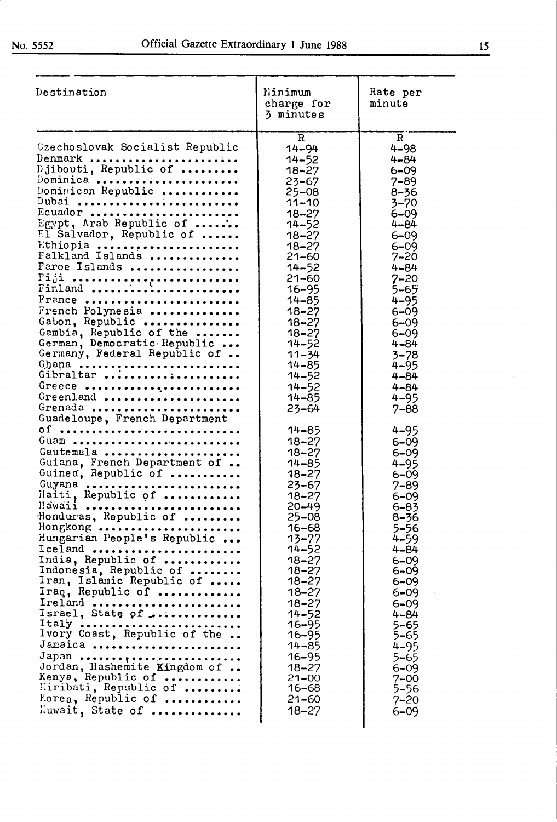| Destination                                                                                                                                                                                                                                                                                                                                                                                                                                                                                                                                                                                                                                                                                                                                                                                                                                                                                                                                                                                                                  | Ninimum<br>charge for<br>3 minutes                                                                                                                                                                                                                                                                                                                                                                                                                                                                                                                                                                                                                      | Rate per<br>minute                                                                                                                                                                                                                                                                                                                                                                                                                                                                                                                                                                                                  |
|------------------------------------------------------------------------------------------------------------------------------------------------------------------------------------------------------------------------------------------------------------------------------------------------------------------------------------------------------------------------------------------------------------------------------------------------------------------------------------------------------------------------------------------------------------------------------------------------------------------------------------------------------------------------------------------------------------------------------------------------------------------------------------------------------------------------------------------------------------------------------------------------------------------------------------------------------------------------------------------------------------------------------|---------------------------------------------------------------------------------------------------------------------------------------------------------------------------------------------------------------------------------------------------------------------------------------------------------------------------------------------------------------------------------------------------------------------------------------------------------------------------------------------------------------------------------------------------------------------------------------------------------------------------------------------------------|---------------------------------------------------------------------------------------------------------------------------------------------------------------------------------------------------------------------------------------------------------------------------------------------------------------------------------------------------------------------------------------------------------------------------------------------------------------------------------------------------------------------------------------------------------------------------------------------------------------------|
| Czechoslovak Socialist Republic<br>Denmark<br>Djibouti, Republic of<br>Dominica<br>Dominican Republic<br>Dubai<br>Ecuador<br>Egypt, Arab Republic of<br>El Salvador, Republic of<br>Ethiopia<br>Falkland Islands<br>Faroe Islands<br>Fiji<br>Finland<br>France<br>French Polynesia<br>Gabon, Republic<br>Gambia, Republic of the<br>German, Democratic Republic<br>Germany, Federal Republic of<br>Ghana<br>Gibraltar<br>Greece<br>Greenland<br>Grenada<br>Guadeloupe, French Department<br>$0f$<br>Guam<br>Gautemala<br>Guiana, French Department of<br>Guinea, Republic of<br>Guyana<br>Haiti, Republic of<br>Hawaii<br>Honduras, Republic of<br>Hongkong<br>Hungarian People's Republic<br>Iceland<br>India, Republic of<br>Indonesia, Republic of<br>Iran, Islamic Republic of<br>Iraq, Republic of<br>Ireland<br>Israel, State of<br>Italy<br>Ivory Coast, Republic of the<br>Jamaica<br>Japan<br>Jordan, Hashemite Kingdom of<br>Kenya, Republic of<br>Kiribati, Republic of<br>Korea, Republic of<br>Luwait, State of | $\mathbf R$<br>14-94<br>$14 - 52$<br>$18 - 27$<br>$23 - 67$<br>$25 - 08$<br>$11 - 10$<br>$18 - 27$<br>$14 - 52$<br>$18 - 27$<br>$18 - 27$<br>$21 - 60$<br>$14 - 52$<br>$21 - 60$<br>16–95<br>$14 - 85$<br>$18 - 27$<br>$18 - 27$<br>$18 - 27$<br>$14 - 52$<br>$11 - 34$<br>$14 - 85$<br>$14 - 52$<br>$14 - 52$<br>$14 - 85$<br>$23 - 64$<br>$14 - 85$<br>$18 - 27$<br>18–27<br>$14 - 85$<br>$18 - 27$<br>$23 - 67$<br>18–27<br>$20 - 49$<br>25–08<br>16–68<br>13–77<br>14–52<br>$18 - 27$<br>$18 - 27$<br>$18 - 27$<br>$18 - 27$<br>$18 - 27$<br>$14 - 52$<br>16–95<br>16–95<br>14-85<br>$16 - 95$<br>$18 - 27$<br>21–00<br>16–68<br>21–60<br>$18 - 27$ | $\mathbf R$<br>$4 - 98$<br>$4 - 84$<br>$6 - 09$<br>$7 - 89$<br>$8 - 36$<br>$3 - 70$<br>$6 - 09$<br>$4 - 84$<br>$6 - 09$<br>$6 - 09$<br>$7 - 20$<br>$4 - 84$<br>$7 - 20$<br>5–65<br>$4 - 95$<br>$6 - 09$<br>$6 - 09$<br>$6 - 09$<br>$4 - 84$<br>$3 - 78$<br>$4 - 95$<br>$4 - 84$<br>$4 - 84$<br>$4 - 95$<br>$7 - 88$<br>$4 - 95$<br>$6 - 09$<br>$6 - 09$<br>$4 - 95$<br>$6 - 09$<br>$7 - 89$<br>$6 - 09$<br>$6 - 83$<br>8–36<br>5–56<br>$4 - 59$<br>4-84<br>$6 - 09$<br>6–09<br>$6 - 09$<br>6–09<br>$6 - 09$<br>4–84<br>$5 - 65$<br>5–65<br>$4 - 95$<br>$5 - 65$<br>6–09<br>$7 - 00$<br>5–56<br>$7 - 20$<br>$6 - 09$ |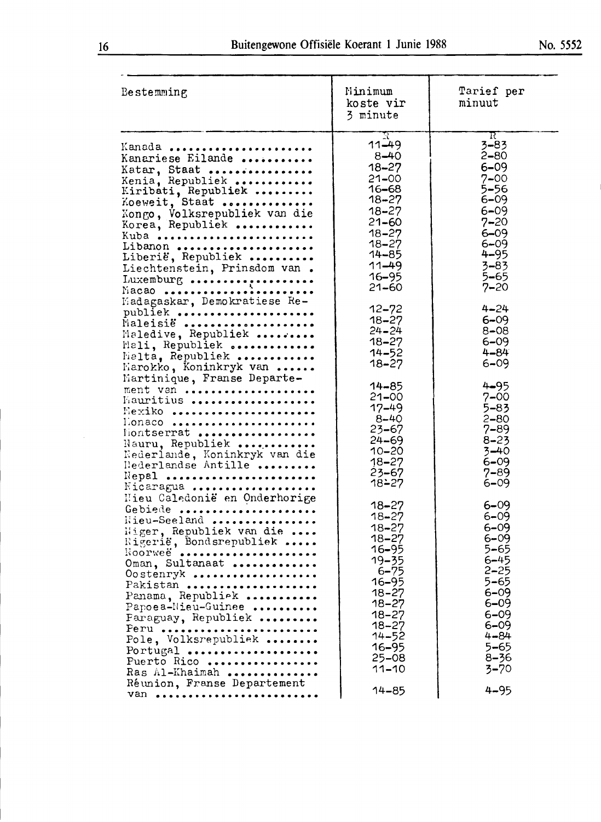| Bestemming                                                                                                                                                                                                                                                                                                                                                                                                                                 | Minimum<br>koste vir<br>3 minute                                                                                                                                                                                                                     | Tarief per<br>minuut                                                                                                                                                                                                                                                    |
|--------------------------------------------------------------------------------------------------------------------------------------------------------------------------------------------------------------------------------------------------------------------------------------------------------------------------------------------------------------------------------------------------------------------------------------------|------------------------------------------------------------------------------------------------------------------------------------------------------------------------------------------------------------------------------------------------------|-------------------------------------------------------------------------------------------------------------------------------------------------------------------------------------------------------------------------------------------------------------------------|
| Kanada<br>Kanariese Eilande<br>Katar, Staat<br>Kenia, Republiek<br>Kiribati, Republiek<br>Koeweit, Staat<br>Kongo, Volksrepubliek van die<br>Korea, Republiek<br>Kuba<br>Libanon<br>Liberië, Republiek<br>Liechtenstein, Prinsdom van.<br>Luxemburg<br>Macao<br>Madagaskar, Demokratiese Re-<br>publiek<br>Maleisië<br>Maledive, Republiek<br>Mali, Republiek<br>halta, Republiek<br>Harokko, Koninkryk van<br>Martinique, Franse Departe- | R<br>11–49<br>$8 - 40$<br>$18 - 27$<br>$21 - 00$<br>16–68<br>$18 - 27$<br>$18 - 27$<br>$21 - 60$<br>$18 - 27$<br>$18 - 27$<br>14-85<br>$11 - 49$<br>$16 - 95$<br>21–60<br>$12 - 72$<br>$18 - 27$<br>$24 - 24$<br>$18 - 27$<br>$14 - 52$<br>$18 - 27$ | $\overline{\mathrm{R}}$<br>$3 - 83$<br>$2 - 80$<br>$6 - 09$<br>$7 - 00$<br>$5 - 56$<br>$6 - 09$<br>$6 - 09$<br>$7 - 20$<br>$6 - 09$<br>$6 - 09$<br>$4 - 95$<br>$3 - 83$<br>$5 - 65$<br>$7 - 20$<br>$4 - 24$<br>$6 - 09$<br>$8 - 08$<br>$6 - 09$<br>$4 - 84$<br>$6 - 09$ |
| ment van<br>Mauritius<br>Hexiko<br>L'onaco<br>fiontserrat<br>Nauru, Republiek<br>Nederlande, Koninkryk van die<br>Rederlandse Antille<br>Nepal<br>Nicaragua                                                                                                                                                                                                                                                                                | 14–85<br>21-00<br>$17 - 49$<br>$8 - 40$<br>23–67<br>24–69<br>$10 - 20$<br>$18 - 27$<br>23–67<br>18∸27                                                                                                                                                | $4 - 95$<br>$7 - 00$<br>$5 - 83$<br>$2 - 80$<br>$7 - 89$<br>$8 - 23$<br>$3 - 40$<br>$6 - 09$<br>$7 - 89$<br>$6 - 09$                                                                                                                                                    |
| Hieu Caledonië en Onderhorige<br>Gebiede<br>Wieu-Seeland<br>Wiger, Republiek van die<br>Rigerië, Bondsrepubliek<br>ROOPWeë<br>Oman, Sultanaat<br>Oostenryk<br>Pakistan<br>Panama, Republiek<br>Papoea-Nieu-Guinee<br>Paraguay, Republiek<br>Peru<br>Pole, Volksrepubliek<br>Portugal<br>Puerto Rico<br>Ras Al-Khaimah<br>Réunion, Franse Departement                                                                                       | 18–27<br>18-27<br>$18 - 27$<br>$18 - 27$<br>16–95<br>$19 - 35$<br>$6 - 75$<br>$16 - 95$<br>$18 - 27$<br>$18 - 27$<br>$18 - 27$<br>$18 - 27$<br>$14 - 52$<br>16–95<br>$25 - 08$<br>$11 - 10$                                                          | $6 - 09$<br>$6 - 09$<br>$6 - 09$<br>$6 - 09$<br>$5 - 65$<br>$6 - 45$<br>$2 - 25$<br>$5 - 65$<br>$6 - 09$<br>$6 - 09$<br>$6 - 09$<br>$6 - 09$<br>$4 - 84$<br>5–65<br>$8 - 36$<br>$3 - 70$                                                                                |
| Van                                                                                                                                                                                                                                                                                                                                                                                                                                        | 14–85                                                                                                                                                                                                                                                | $4 - 95$                                                                                                                                                                                                                                                                |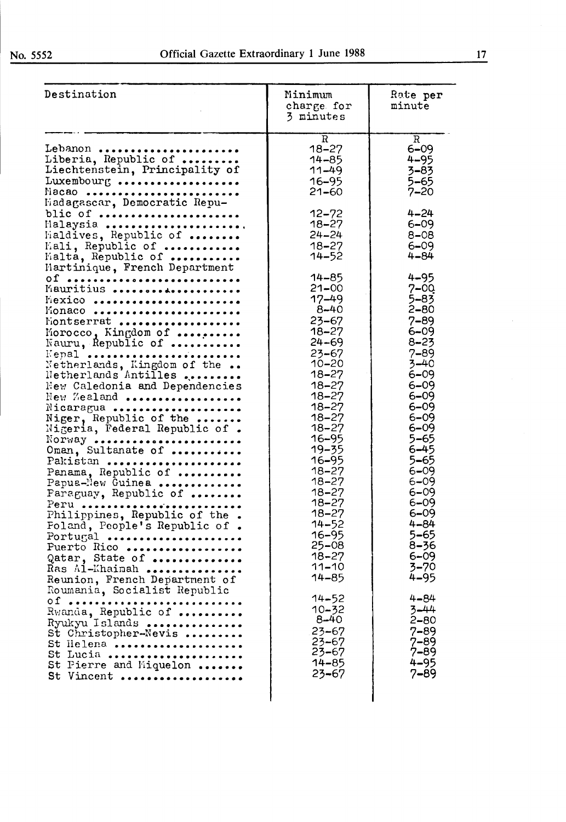| Destination                                                                                                                                                                                                                                                                                                                                                                                                                                                                                                                                                                                                                                                                                                                                                    | Minimum<br>charge for<br>3 minutes                                                                                                                                                                                                                                                                                                                                                                                                                                                  | Rate per<br>minute                                                                                                                                                                                                                                                                                                                                                                                                                                   |
|----------------------------------------------------------------------------------------------------------------------------------------------------------------------------------------------------------------------------------------------------------------------------------------------------------------------------------------------------------------------------------------------------------------------------------------------------------------------------------------------------------------------------------------------------------------------------------------------------------------------------------------------------------------------------------------------------------------------------------------------------------------|-------------------------------------------------------------------------------------------------------------------------------------------------------------------------------------------------------------------------------------------------------------------------------------------------------------------------------------------------------------------------------------------------------------------------------------------------------------------------------------|------------------------------------------------------------------------------------------------------------------------------------------------------------------------------------------------------------------------------------------------------------------------------------------------------------------------------------------------------------------------------------------------------------------------------------------------------|
| Lebanon<br>Liberia, Republic of<br>Liechtenstein, Principality of<br>Luxembourg<br>Macao<br>Madagascar, Democratic Repu-                                                                                                                                                                                                                                                                                                                                                                                                                                                                                                                                                                                                                                       | $\mathbf R$<br>$18 - 27$<br>$14 - 85$<br>$11 - 49$<br>$16 - 95$<br>$21 - 60$                                                                                                                                                                                                                                                                                                                                                                                                        | R<br>$6 - 09$<br>$4 - 95$<br>$3 - 83$<br>$5 - 65$<br>$7 - 20$                                                                                                                                                                                                                                                                                                                                                                                        |
| blic of<br>Malaysia<br>Maldives, Republic of<br>Mali, Republic of<br>Malta, Republic of<br>Martinique, French Department                                                                                                                                                                                                                                                                                                                                                                                                                                                                                                                                                                                                                                       | $12 - 72$<br>$18 - 27$<br>$24 - 24$<br>$18 - 27$<br>$14 - 52$                                                                                                                                                                                                                                                                                                                                                                                                                       | $4 - 24$<br>$6 - 09$<br>$8 - 08$<br>$6 - 09$<br>$4 - 84$                                                                                                                                                                                                                                                                                                                                                                                             |
| 0f<br>Mauritius<br>Mexico<br>Monaco<br>Montserrat<br>Morocco, Kingdom of<br>Nauru, Republic of<br>Kepal<br>Netherlands, Kingdom of the<br>Netherlands Antilles<br>New Caledonia and Dependencies<br>New Zealand<br>Nicaragua<br>Niger, Republic of the<br>Nigeria, Federal Republic of.<br>$\text{NOTWAY}$<br>Oman, Sultanate of<br>Pakistan<br>Panama, Republic of<br>Papua-New Guinea<br>Paraguay, Republic of<br>Peru<br>Philippines, Republic of the.<br>Foland, People's Republic of.<br>Portugal<br>Puerto Rico<br>Qatar, State of<br>Ras Al-Khaimah<br>Reunion, French Department of<br>Roumania, Socialist Republic<br>Rwanda, Republic of<br>Ryukyu Islands<br>St Christopher-Nevis<br>St Ilelena<br>St Lucia<br>St Pierre and Miquelon<br>St Vincent | $14 - 85$<br>$21 - 00$<br>$17 - 49$<br>$8 - 40$<br>$23 - 67$<br>$18 - 27$<br>$24 - 69$<br>$23 - 67$<br>$10 - 20$<br>$18 - 27$<br>$18 - 27$<br>$18 - 27$<br>$18 - 27$<br>$18 - 27$<br>$18 - 27$<br>16-95<br>$19 - 35$<br>16-95<br>$18 - 27$<br>$18 - 27$<br>$18 - 27$<br>$18 - 27$<br>$18 - 27$<br>$14 - 52$<br>$16 - 95$<br>$25 - 08$<br>$18 - 27$<br>$11 - 10$<br>$14 - 85$<br>$14 - 52$<br>$10 - 32$<br>$8 - 40$<br>$23 - 67$<br>$23 - 67$<br>$23 - 67$<br>$14 - 85$<br>$23 - 67$ | $4 - 95$<br>$7 - 00$<br>$5 - 83$<br>$2 - 80$<br>$7 - 89$<br>$6 - 09$<br>$8 - 23$<br>$7 - 89$<br>$3 - 40$<br>$6 - 09$<br>$6 - 09$<br>$6 - 09$<br>$6 - 09$<br>$6 - 09$<br>$6 - 09$<br>$5 - 65$<br>$6 - 45$<br>$5 - 65$<br>$6 - 09$<br>$6 - 09$<br>$6 - 09$<br>$6 - 09$<br>$6 - 09$<br>$4 - 84$<br>$5 - 65$<br>$8 - 36$<br>$6 - 09$<br>$3 - 70$<br>$4 - 95$<br>$4 - 84$<br>3-44<br>$2 - 80$<br>$7 - 89$<br>$7 - 89$<br>$7 - 89$<br>$4 - 95$<br>$7 - 89$ |

 $\hat{\mathcal{A}}$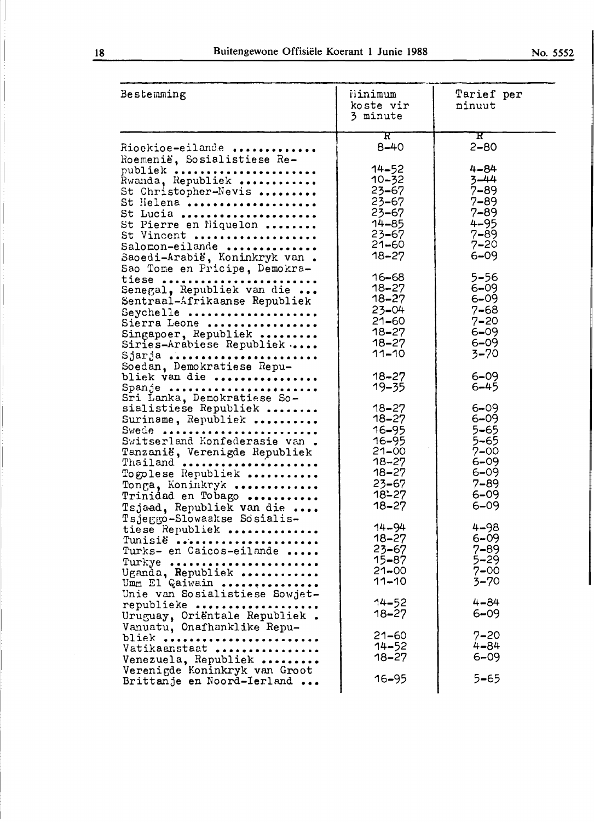| Bestemming                                                                                                                                                                                                                                                                                                                           | Flinimum<br>koste vir<br>3 minute                                                                                                                                                      | Tarief per<br>minuut                                                                                                                                                    |
|--------------------------------------------------------------------------------------------------------------------------------------------------------------------------------------------------------------------------------------------------------------------------------------------------------------------------------------|----------------------------------------------------------------------------------------------------------------------------------------------------------------------------------------|-------------------------------------------------------------------------------------------------------------------------------------------------------------------------|
| Rioekioe-eilande<br>Roemenië, Sosialistiese Re-<br>publiek<br>Rwanda, Republiek<br>St Christopher-Nevis<br>St Helena<br>St Lucia<br>St Pierre en Niquelon<br>St Vincent<br>Salomon-eilande<br>Saoedi-Arabië, Koninkryk van.<br>Sao Tome en Pricipe, Demokra-<br>tiese<br>Senegal, Republiek van die<br>Sentraal-Afrikaanse Republiek | $\mathbf{R}^-$<br>$8 - 40$<br>$14 - 52$<br>$10 - 32$<br>$23 - 67$<br>$23 - 67$<br>$23 - 67$<br>$14 - 85$<br>$23 - 67$<br>$21 - 60$<br>$18 - 27$<br>$16 - 68$<br>$18 - 27$<br>$18 - 27$ | ${\bf R}^-$<br>$2 - 80$<br>$4 - 84$<br>$3 - 44$<br>$7 - 89$<br>$7 - 89$<br>$7 - 89$<br>$4 - 95$<br>$7 - 89$<br>$7 - 20$<br>$6 - 09$<br>$5 - 56$<br>$6 - 09$<br>$6 - 09$ |
| Seychelle<br>Sierra Leone<br>Singapoer, Republiek<br>Siries-Arabiese Republiek<br>Sjarja<br>Soedan, Demokratiese Repu-<br>bliek van die                                                                                                                                                                                              | $23 - 04$<br>$21 - 60$<br>$18 - 27$<br>$18 - 27$<br>$11 - 10$<br>$18 - 27$                                                                                                             | $7 - 68$<br>$7 - 20$<br>$6 - 09$<br>$6 - 09$<br>$3 - 70$<br>$6 - 09$                                                                                                    |
| Spanje<br>Sri Lanka, Demokratiese So-<br>sialistiese Republiek<br>Suriname, Republiek<br>Swede<br>Switserland Konfederasie van.<br>Tanzanië, Verenigde Republiek<br>Thailand<br>Togolese Republiek<br>Tonga, Koninkryk<br>Trinidad en Tobago<br>Tsjaad, Republiek van die                                                            | $19 - 35$<br>$18 - 27$<br>$18 - 27$<br>$16 - 95$<br>16-95<br>$21 - 00$<br>18–27<br>$18 - 27$<br>$23 - 67$<br>$18 - 27$<br>$18 - 27$                                                    | $6 - 45$<br>$6 - 09$<br>$6 - 09$<br>$5 - 65$<br>5–65<br>$7 - 00$<br>$6 - 09$<br>$6 - 09$<br>$7 - 89$<br>$6 - 09$<br>$6 - 09$                                            |
| Tsjeggo-Slowaakse Sosialis-<br>tiese Republiek<br>Tunisië<br>Turks- en Caicos-eilande<br>Turkye<br>Uganda, Republiek<br>Umm El Gaiwain                                                                                                                                                                                               | $14 - 94$<br>$18 - 27$<br>$23 - 67$<br>15–87<br>$21 - 00$<br>$11 - 10$                                                                                                                 | $4 - 98$<br>$6 - 09$<br>$7 - 89$<br>$5 - 29$<br>$7 - 00$<br>$3 - 70$                                                                                                    |
| Unie van Sosialistiese Sowjet-<br>republieke<br>Uruguay, Oriëntale Republiek.<br>Vanuatu, Onafhanklike Repu-<br>bliek<br>Vatikaanstaat<br>Venezuela, Republiek                                                                                                                                                                       | $14 - 52$<br>18–27<br>$21 - 60$<br>$14 - 52$<br>$18 - 27$                                                                                                                              | $4 - 84$<br>$6 - 09$<br>$7 - 20$<br>$4 - 84$<br>$6 - 09$                                                                                                                |
| Verenigde Koninkryk van Groot<br>Brittanje en Noord-Ierland                                                                                                                                                                                                                                                                          | 16–95                                                                                                                                                                                  | 5–65                                                                                                                                                                    |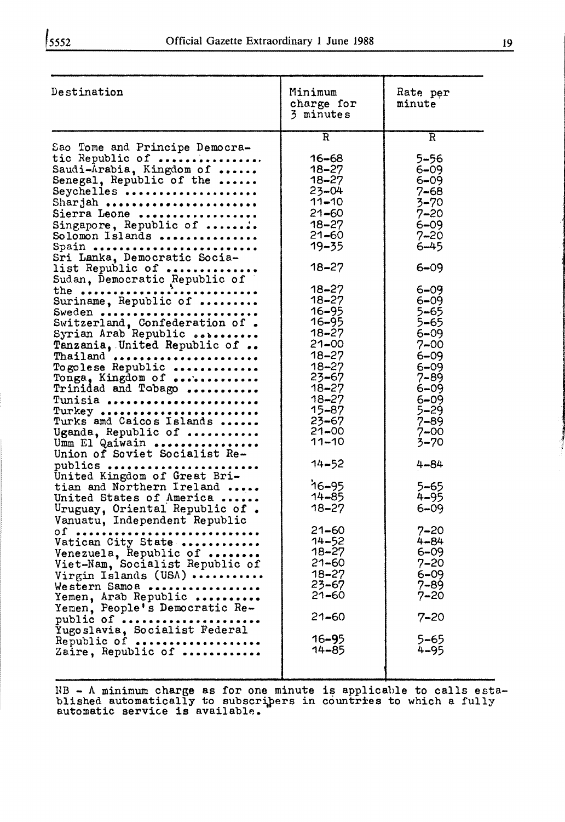| Destination                                                                                                                                                                                                                                                                                                                                                                                                                                                                                                                                                                                                                                                             | Minimum<br>charge for<br>3 minutes                                                                                                                                                                                                                                                  | Rate per<br>minute                                                                                                                                                                                                                                                   |
|-------------------------------------------------------------------------------------------------------------------------------------------------------------------------------------------------------------------------------------------------------------------------------------------------------------------------------------------------------------------------------------------------------------------------------------------------------------------------------------------------------------------------------------------------------------------------------------------------------------------------------------------------------------------------|-------------------------------------------------------------------------------------------------------------------------------------------------------------------------------------------------------------------------------------------------------------------------------------|----------------------------------------------------------------------------------------------------------------------------------------------------------------------------------------------------------------------------------------------------------------------|
|                                                                                                                                                                                                                                                                                                                                                                                                                                                                                                                                                                                                                                                                         | $\overline{\mathbf{R}}$                                                                                                                                                                                                                                                             | R                                                                                                                                                                                                                                                                    |
| Sao Tome and Principe Democra-<br>tic Republic of<br>Saudi-Arabia, Kingdom of<br>Senegal, Republic of the<br>Seychelles<br>Sharjah<br>Sierra Leone<br>Singapore, Republic of                                                                                                                                                                                                                                                                                                                                                                                                                                                                                            | $16 - 68$<br>$18 - 27$<br>$18 - 27$<br>$23 - 04$<br>$11 - 10$<br>$21 - 60$<br>$18 - 27$                                                                                                                                                                                             | $5 - 56$<br>$6 - 09$<br>$6 - 09$<br>$7 - 68$<br>$3 - 70$<br>$7 - 20$<br>$6 - 09$                                                                                                                                                                                     |
| Solomon Islands<br>Spain                                                                                                                                                                                                                                                                                                                                                                                                                                                                                                                                                                                                                                                | $21 - 60$<br>$19 - 35$                                                                                                                                                                                                                                                              | $7 - 20$<br>$6 - 45$                                                                                                                                                                                                                                                 |
| Sri Lanka, Democratic Socia-<br>list Republic of                                                                                                                                                                                                                                                                                                                                                                                                                                                                                                                                                                                                                        | $18 - 27$                                                                                                                                                                                                                                                                           | $6 - 09$                                                                                                                                                                                                                                                             |
| Sudan, Democratic Republic of<br>the<br>.<br>Suriname, Republic of<br>Sweden<br>Switzerland, Confederation of.<br>Syrian Arab Republic<br>Tanzania. United Republic of<br>Thailand<br>Togolese Republic<br>Tonga, Kingdom of<br>Trinidad and Tobago<br>Tunisia<br>Turkey<br>Turks and Caicos Islands<br>Uganda, Republic of<br>Umm El Qaiwain<br>Union of Soviet Socialist Re-<br>publics<br>United Kingdom of Great Bri-<br>tian and Northern Ireland<br>United States of America<br>Uruguay, Oriental Republic of.<br>Vanuatu, Independent Republic<br>$\overline{\text{or}}$<br>.<br>Vatican City State<br>Venezuela, Republic of<br>Viet-Nam, Socialist Republic of | $18 - 27$<br>$18 - 27$<br>$16 - 95$<br>16-95<br>$18 - 27$<br>$21 - 00$<br>$18 - 27$<br>$18 - 27$<br>23–67<br>$18 - 27$<br>$18 - 27$<br>15-87<br>$23 - 67$<br>$21 - 00$<br>$11 - 10$<br>$14 - 52$<br>$16 - 95$<br>$14 - 85$<br>$18 - 27$<br>21-60<br>$14 - 52$<br>18–27<br>$21 - 60$ | $6 - 09$<br>$6 - 09$<br>$5 - 65$<br>5–65<br>$6 - 09$<br>$7 - 00$<br>$6 - 09$<br>$6 - 09$<br>$7 - 89$<br>$6 - 09$<br>$6 - 09$<br>5–29<br>$7 - 89$<br>$7 - 00$<br>$3 - 70$<br>$4 - 84$<br>5–65<br>$4 - 95$<br>$6 - 09$<br>$7 - 20$<br>$4 - 84$<br>$6 - 09$<br>$7 - 20$ |
| Virgin Islands (USA)<br>Western Samoa<br>Yemen, Arab Republic                                                                                                                                                                                                                                                                                                                                                                                                                                                                                                                                                                                                           | $18 - 27$<br>23–67<br>21–60                                                                                                                                                                                                                                                         | $6 - 09$<br>$7 - 89$<br>$7 - 20$                                                                                                                                                                                                                                     |
| Yemen, People's Democratic Re-<br>public of                                                                                                                                                                                                                                                                                                                                                                                                                                                                                                                                                                                                                             | $21 - 60$                                                                                                                                                                                                                                                                           | $7 - 20$                                                                                                                                                                                                                                                             |
| Yugoslavia, Socialist Federal<br>Republic of<br>Zaire, Republic of                                                                                                                                                                                                                                                                                                                                                                                                                                                                                                                                                                                                      | $16 - 95$<br>14-85                                                                                                                                                                                                                                                                  | 5–65<br>$4 - 95$                                                                                                                                                                                                                                                     |
|                                                                                                                                                                                                                                                                                                                                                                                                                                                                                                                                                                                                                                                                         |                                                                                                                                                                                                                                                                                     |                                                                                                                                                                                                                                                                      |

 $HB - A$  minimum charge as for one minute is applicable to calls established automatically to subscripers in countries to which a fully automatic service is available.